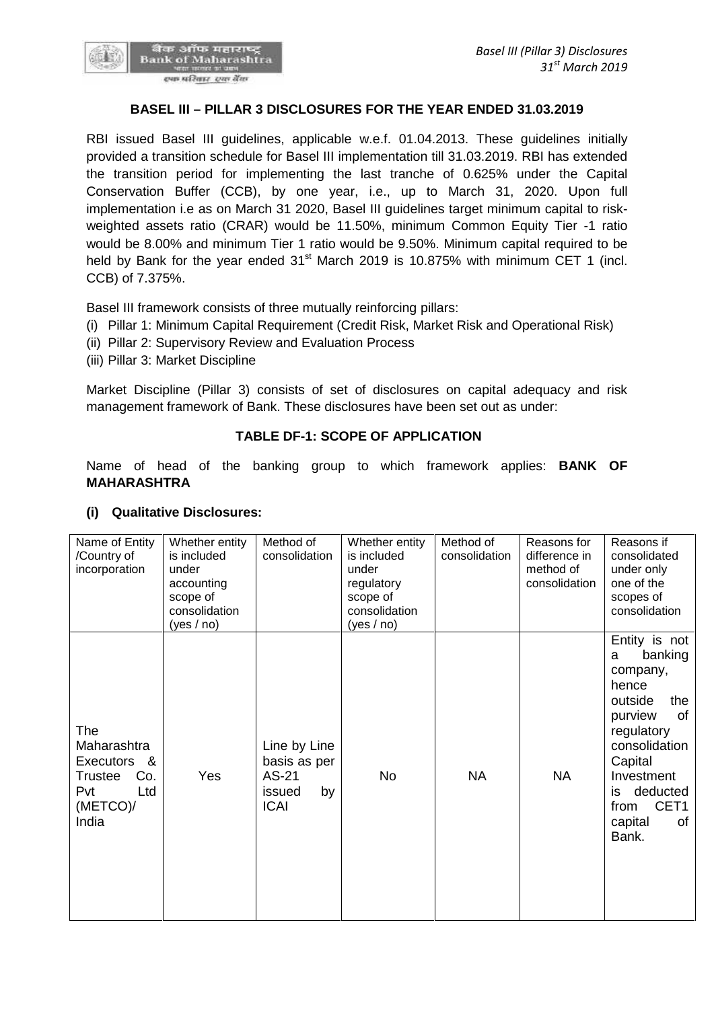

#### **BASEL III – PILLAR 3 DISCLOSURES FOR THE YEAR ENDED 31.03.2019**

RBI issued Basel III guidelines, applicable w.e.f. 01.04.2013. These guidelines initially provided a transition schedule for Basel III implementation till 31.03.2019. RBI has extended the transition period for implementing the last tranche of 0.625% under the Capital Conservation Buffer (CCB), by one year, i.e., up to March 31, 2020. Upon full implementation i.e as on March 31 2020, Basel III guidelines target minimum capital to risk weighted assets ratio (CRAR) would be 11.50%, minimum Common Equity Tier -1 ratio would be 8.00% and minimum Tier 1 ratio would be 9.50%. Minimum capital required to be held by Bank for the year ended  $31<sup>st</sup>$  March 2019 is 10.875% with minimum CET 1 (incl. CCB) of 7.375%.

Basel III framework consists of three mutually reinforcing pillars:

- (i) Pillar 1: Minimum Capital Requirement (Credit Risk, Market Risk and Operational Risk)
- (ii) Pillar 2: Supervisory Review and Evaluation Process
- (iii) Pillar 3: Market Discipline

Market Discipline (Pillar 3) consists of set of disclosures on capital adequacy and risk management framework of Bank. These disclosures have been set out as under:

#### **TABLE DF-1: SCOPE OF APPLICATION**

Name of head of the banking group to which framework applies: **BANK OF MAHARASHTRA**

| Name of Entity<br>/Country of<br>incorporation                                  | Whether entity<br>is included<br>under<br>accounting<br>scope of<br>consolidation<br>(yes / no) | Method of<br>consolidation                                           | Whether entity<br>is included<br>under<br>regulatory<br>scope of<br>consolidation<br>(yes / no) | Method of<br>consolidation | Reasons for<br>difference in<br>method of<br>consolidation | Reasons if<br>consolidated<br>under only<br>one of the<br>scopes of<br>consolidation                                                                                                                      |
|---------------------------------------------------------------------------------|-------------------------------------------------------------------------------------------------|----------------------------------------------------------------------|-------------------------------------------------------------------------------------------------|----------------------------|------------------------------------------------------------|-----------------------------------------------------------------------------------------------------------------------------------------------------------------------------------------------------------|
| The<br>Maharashtra<br>Executors &<br><b>Trustee</b><br>Pvt<br>(METCO)/<br>India | Co.<br>Yes<br>Ltd                                                                               | Line by Line<br>basis as per<br>AS-21<br>by<br>issued<br><b>ICAI</b> | No                                                                                              | <b>NA</b>                  | <b>NA</b>                                                  | Entity is not<br>banking<br>a<br>company,<br>hence<br>outside<br>the<br>purview<br>οf<br>regulatory<br>consolidation<br>Capital<br>Investment<br>deducted<br>is<br>CET1<br>from<br>capital<br>0f<br>Bank. |

#### **(i) Qualitative Disclosures:**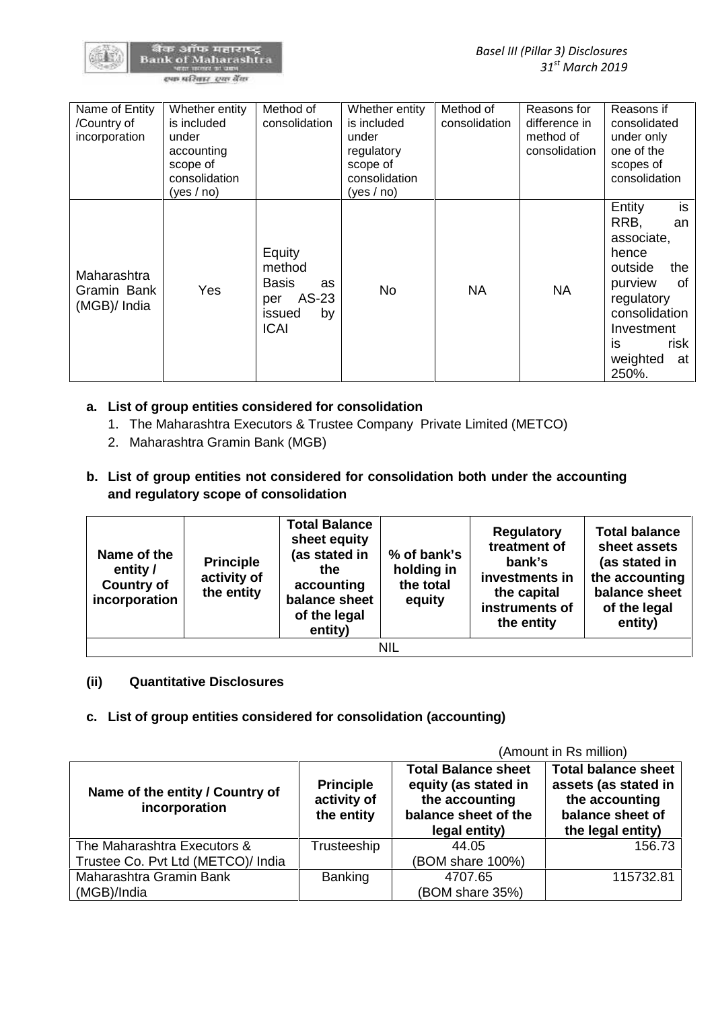

| Name of Entity<br>/Country of<br>incorporation | Whether entity<br>is included<br>under<br>accounting<br>scope of<br>consolidation<br>(yes / no) | Method of<br>consolidation                                                                   | Whether entity<br>is included<br>under<br>regulatory<br>scope of<br>consolidation<br>(yes / no) | Method of<br>consolidation | Reasons for<br>difference in<br>method of<br>consolidation | Reasons if<br>consolidated<br>under only<br>one of the<br>scopes of<br>consolidation                                                                                       |
|------------------------------------------------|-------------------------------------------------------------------------------------------------|----------------------------------------------------------------------------------------------|-------------------------------------------------------------------------------------------------|----------------------------|------------------------------------------------------------|----------------------------------------------------------------------------------------------------------------------------------------------------------------------------|
| Maharashtra<br>Gramin Bank<br>(MGB)/ India     | Yes                                                                                             | Equity<br>method<br><b>Basis</b><br><b>as</b><br>AS-23<br>per<br>by<br>issued<br><b>ICAI</b> | <b>No</b>                                                                                       | <b>NA</b>                  | <b>NA</b>                                                  | is<br>Entity<br>RRB,<br>an<br>associate,<br>hence<br>outside<br>the<br>purview<br>0f<br>regulatory<br>consolidation<br>Investment<br>is<br>risk<br>weighted<br>at<br>250%. |

# **a. List of group entities considered for consolidation**

- 1. The Maharashtra Executors & Trustee Company Private Limited (METCO)
- 2. Maharashtra Gramin Bank (MGB)
- **b. List of group entities not considered for consolidation both under the accounting and regulatory scope of consolidation**

| Name of the<br>entity /<br><b>Country of</b><br>incorporation | <b>Principle</b><br>activity of<br>the entity | <b>Total Balance</b><br>sheet equity<br>(as stated in<br>the.<br>accounting<br>balance sheet<br>of the legal<br>entity) | % of bank's<br>holding in<br>the total<br>equity | <b>Regulatory</b><br>treatment of<br>bank's<br>investments in<br>the capital<br>instruments of<br>the entity | <b>Total balance</b><br>sheet assets<br>(as stated in<br>the accounting<br>balance sheet<br>of the legal<br>entity) |
|---------------------------------------------------------------|-----------------------------------------------|-------------------------------------------------------------------------------------------------------------------------|--------------------------------------------------|--------------------------------------------------------------------------------------------------------------|---------------------------------------------------------------------------------------------------------------------|
|                                                               |                                               |                                                                                                                         | NIL                                              |                                                                                                              |                                                                                                                     |

#### **(ii) Quantitative Disclosures**

#### **c. List of group entities considered for consolidation (accounting)**

|                                                  |                                               | (Amount in Rs million)                                                                                        |                                                                                                               |  |  |  |
|--------------------------------------------------|-----------------------------------------------|---------------------------------------------------------------------------------------------------------------|---------------------------------------------------------------------------------------------------------------|--|--|--|
| Name of the entity / Country of<br>incorporation | <b>Principle</b><br>activity of<br>the entity | <b>Total Balance sheet</b><br>equity (as stated in<br>the accounting<br>balance sheet of the<br>legal entity) | <b>Total balance sheet</b><br>assets (as stated in<br>the accounting<br>balance sheet of<br>the legal entity) |  |  |  |
| The Maharashtra Executors &                      | Trusteeship                                   | 44.05                                                                                                         | 156.73                                                                                                        |  |  |  |
| Trustee Co. Pvt Ltd (METCO)/ India               |                                               | (BOM share 100%)                                                                                              |                                                                                                               |  |  |  |
| Maharashtra Gramin Bank                          | <b>Banking</b>                                | 4707.65                                                                                                       | 115732.81                                                                                                     |  |  |  |
| (MGB)/India                                      |                                               | (BOM share 35%)                                                                                               |                                                                                                               |  |  |  |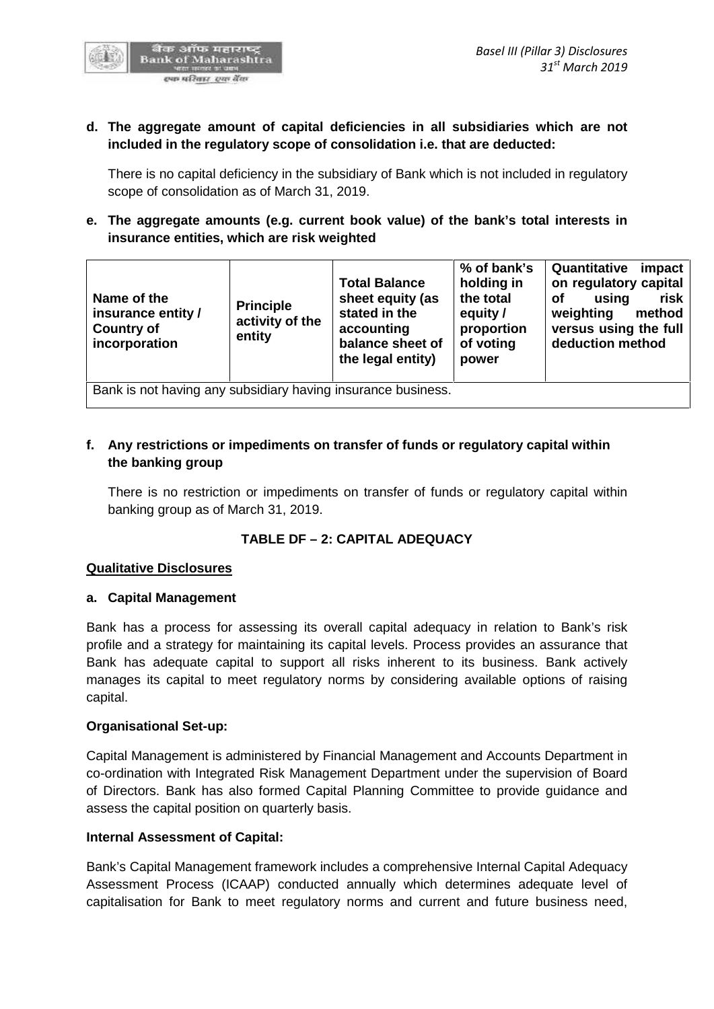

# **d. The aggregate amount of capital deficiencies in all subsidiaries which are not included in the regulatory scope of consolidation i.e. that are deducted:**

There is no capital deficiency in the subsidiary of Bank which is not included in regulatory scope of consolidation as of March 31, 2019.

# **e. The aggregate amounts (e.g. current book value) of the bank's total interests in insurance entities, which are risk weighted**

| Name of the<br>insurance entity /<br><b>Country of</b><br>incorporation | <b>Principle</b><br>activity of the<br>entity | <b>Total Balance</b><br>sheet equity (as<br>stated in the<br>accounting<br>balance sheet of<br>the legal entity) | % of bank's<br>holding in<br>the total<br>equity /<br>proportion<br>of voting<br>power | Quantitative<br>impact<br>on regulatory capital<br><b>of</b><br>risk<br>using<br>weighting<br>method<br>versus using the full<br>deduction method |
|-------------------------------------------------------------------------|-----------------------------------------------|------------------------------------------------------------------------------------------------------------------|----------------------------------------------------------------------------------------|---------------------------------------------------------------------------------------------------------------------------------------------------|
| Bank is not having any subsidiary having insurance business.            |                                               |                                                                                                                  |                                                                                        |                                                                                                                                                   |

# **f. Any restrictions or impediments on transfer of funds or regulatory capital within the banking group**

There is no restriction or impediments on transfer of funds or regulatory capital within banking group as of March 31, 2019.

# **TABLE DF – 2:CAPITAL ADEQUACY**

#### **Qualitative Disclosures**

#### **a. Capital Management**

Bank has a process for assessing its overall capital adequacy in relation to Bank's risk profile and a strategy for maintaining its capital levels. Process provides an assurance that Bank has adequate capital to support all risks inherent to its business. Bank actively manages its capital to meet regulatory norms by considering available options of raising capital.

#### **Organisational Set-up:**

Capital Management is administered by Financial Management and Accounts Department in co-ordination with Integrated Risk Management Department under the supervision of Board of Directors. Bank has also formed Capital Planning Committee to provide guidance and assess the capital position on quarterly basis.

#### **Internal Assessment of Capital:**

Bank's Capital Management framework includes a comprehensive Internal Capital Adequacy Assessment Process (ICAAP) conducted annually which determines adequate level of capitalisation for Bank to meet regulatory norms and current and future business need,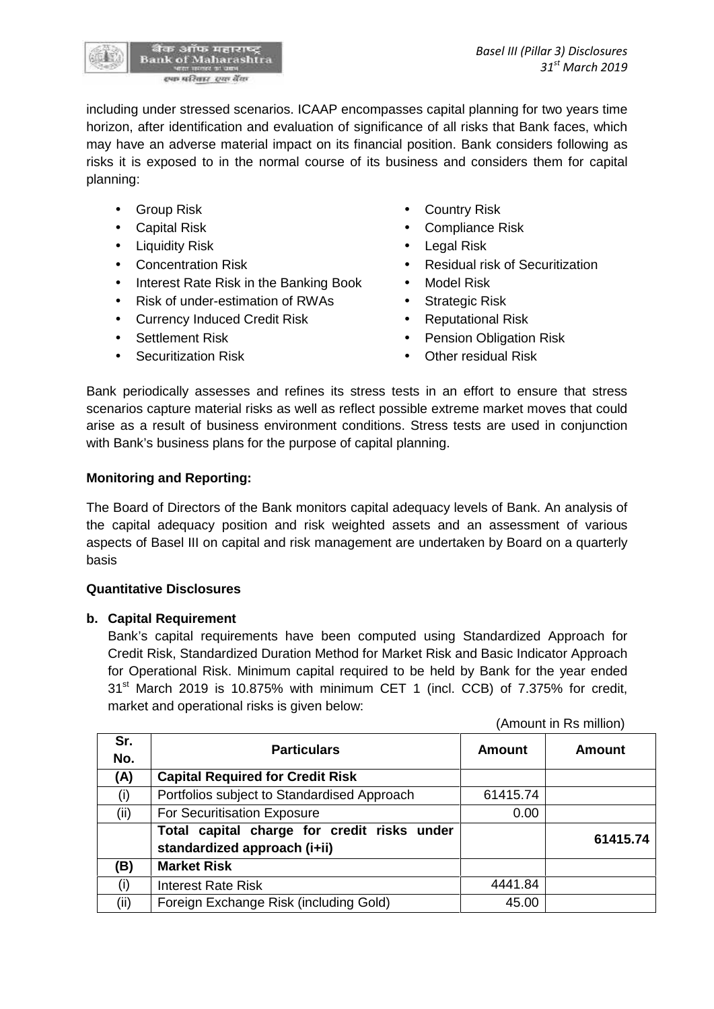

including under stressed scenarios. ICAAP encompasses capital planning for two years time horizon, after identification and evaluation of significance of all risks that Bank faces, which may have an adverse material impact on its financial position. Bank considers following as risks it is exposed to in the normal course of its business and considers them for capital planning:

- 
- 
- 
- 
- Interest Rate Risk in the Banking Book Model Risk
- Risk of under-estimation of RWAs Strategic Risk
- Currency Induced Credit Risk Reputational Risk
- 
- 
- Group Risk **Country Risk Country Risk**
- Capital Risk **Capital Risk Compliance Risk** 
	- Liquidity Risk **Legal Risk Contract Contract Contract Act October 10 Act 2016**
- Concentration Risk **Concentration Risk Concentration Residual risk of Securitization** 
	-
	-
	-
- Settlement Risk **Constant Constant Constant Pension Obligation Risk**
- Securitization Risk **Communist Communist Communist Communist Communist Communist Communist Communist Communist Communist Communist Communist Communist Communist Communist Communist Communist Communist Communist Communist**

Bank periodically assesses and refines its stress tests in an effort to ensure that stress scenarios capture material risks as well as reflect possible extreme market moves that could arise as a result of business environment conditions. Stress tests are used in conjunction with Bank's business plans for the purpose of capital planning.

# **Monitoring and Reporting:**

The Board of Directors of the Bank monitors capital adequacy levels of Bank. An analysis of the capital adequacy position and risk weighted assets and an assessment of various aspects of Basel III on capital and risk management are undertaken by Board on a quarterly basis

# **Quantitative Disclosures**

# **b. Capital Requirement**

Bank's capital requirements have been computed using Standardized Approach for Credit Risk, Standardized Duration Method for Market Risk and Basic Indicator Approach for Operational Risk. Minimum capital required to be held by Bank for the year ended  $31<sup>st</sup>$  March 2019 is 10.875% with minimum CET 1 (incl. CCB) of 7.375% for credit, market and operational risks is given below:

(Amount in Rs million)

| Sr.<br>No. | <b>Particulars</b>                                                          | Amount   | Amount   |
|------------|-----------------------------------------------------------------------------|----------|----------|
| (A)        | <b>Capital Required for Credit Risk</b>                                     |          |          |
| (i)        | Portfolios subject to Standardised Approach                                 | 61415.74 |          |
| (ii)       | For Securitisation Exposure                                                 | 0.00     |          |
|            | Total capital charge for credit risks under<br>standardized approach (i+ii) |          | 61415.74 |
| (B)        | <b>Market Risk</b>                                                          |          |          |
| (i)        | <b>Interest Rate Risk</b>                                                   | 4441.84  |          |
| (ii)       | Foreign Exchange Risk (including Gold)                                      | 45.00    |          |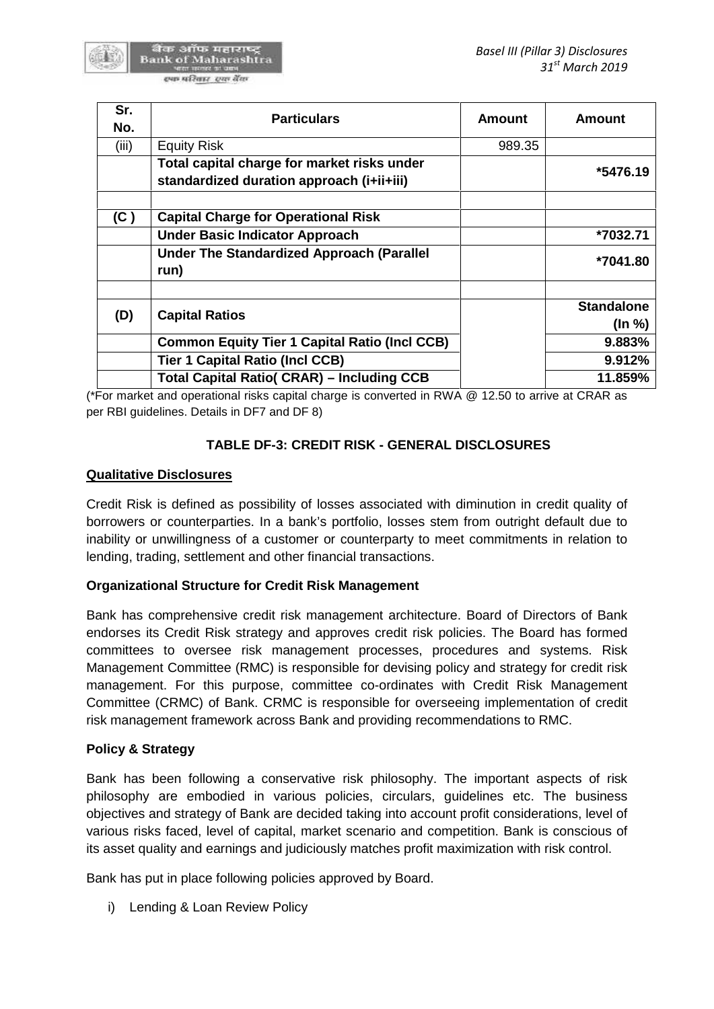

| Sr.<br>No. | <b>Particulars</b>                                                                       | <b>Amount</b> | <b>Amount</b>               |
|------------|------------------------------------------------------------------------------------------|---------------|-----------------------------|
| (iii)      | <b>Equity Risk</b>                                                                       | 989.35        |                             |
|            | Total capital charge for market risks under<br>standardized duration approach (i+ii+iii) |               | *5476.19                    |
| (C)        | <b>Capital Charge for Operational Risk</b>                                               |               |                             |
|            | <b>Under Basic Indicator Approach</b>                                                    |               | *7032.71                    |
|            | <b>Under The Standardized Approach (Parallel</b><br>run)                                 |               | *7041.80                    |
| (D)        | <b>Capital Ratios</b>                                                                    |               | <b>Standalone</b><br>(ln %) |
|            | <b>Common Equity Tier 1 Capital Ratio (Incl CCB)</b>                                     |               | 9.883%                      |
|            | <b>Tier 1 Capital Ratio (Incl CCB)</b>                                                   |               | 9.912%                      |
|            | <b>Total Capital Ratio( CRAR) - Including CCB</b>                                        |               | 11.859%                     |

(\*For market and operational risks capital charge is converted in RWA @ 12.50 to arrive at CRAR as per RBI guidelines. Details in DF7 and DF 8)

# **TABLE DF-3: CREDIT RISK - GENERAL DISCLOSURES**

#### **Qualitative Disclosures**

Credit Risk is defined as possibility of losses associated with diminution in credit quality of borrowers or counterparties. In a bank's portfolio, losses stem from outright default due to inability or unwillingness of a customer or counterparty to meet commitments in relation to lending, trading, settlement and other financial transactions.

#### **Organizational Structure for Credit Risk Management**

Bank has comprehensive credit risk management architecture. Board of Directors of Bank endorses its Credit Risk strategy and approves credit risk policies. The Board has formed committees to oversee risk management processes, procedures and systems. Risk Management Committee (RMC) is responsible for devising policy and strategy for credit risk management. For this purpose, committee co-ordinates with Credit Risk Management Committee (CRMC) of Bank. CRMC is responsible for overseeing implementation of credit risk management framework across Bank and providing recommendations to RMC.

#### **Policy & Strategy**

Bank has been following a conservative risk philosophy. The important aspects of risk philosophy are embodied in various policies, circulars, guidelines etc. The business objectives and strategy of Bank are decided taking into account profit considerations, level of various risks faced, level of capital, market scenario and competition. Bank is conscious of its asset quality and earnings and judiciously matches profit maximization with risk control.

Bank has put in place following policies approved by Board.

i) Lending & Loan Review Policy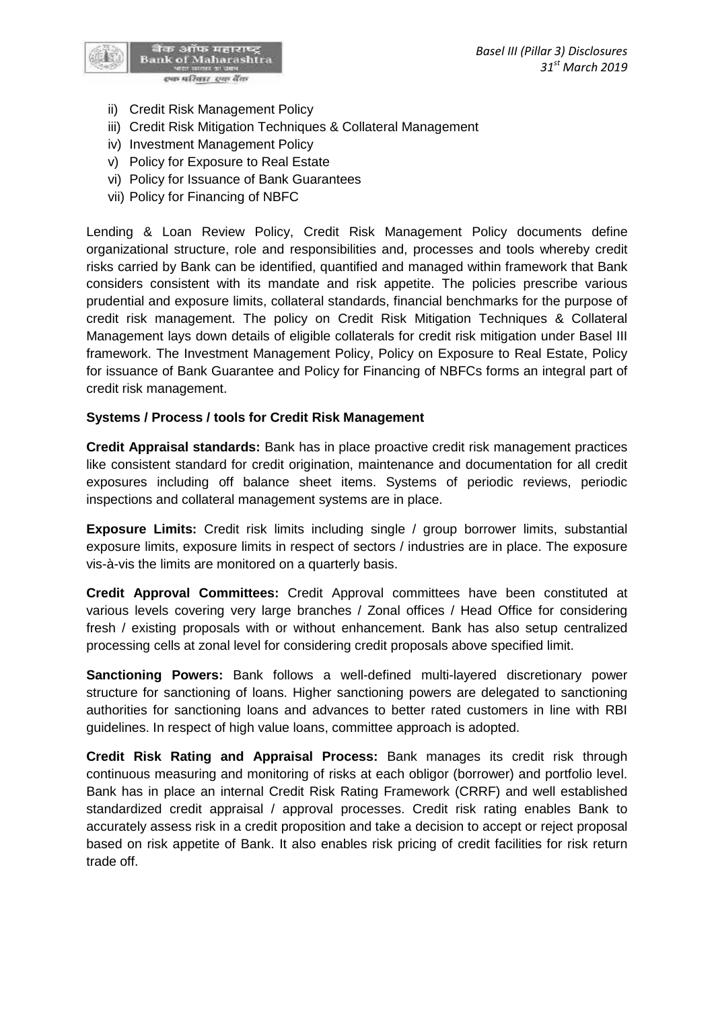

- ii) Credit Risk Management Policy
- iii) Credit Risk Mitigation Techniques & Collateral Management
- iv) Investment Management Policy
- v) Policy for Exposure to Real Estate
- vi) Policy for Issuance of Bank Guarantees
- vii) Policy for Financing of NBFC

Lending & Loan Review Policy, Credit Risk Management Policy documents define organizational structure, role and responsibilities and, processes and tools whereby credit risks carried by Bank can be identified, quantified and managed within framework that Bank considers consistent with its mandate and risk appetite. The policies prescribe various prudential and exposure limits, collateral standards, financial benchmarks for the purpose of credit risk management. The policy on Credit Risk Mitigation Techniques & Collateral Management lays down details of eligible collaterals for credit risk mitigation under Basel III framework. The Investment Management Policy, Policy on Exposure to Real Estate, Policy for issuance of Bank Guarantee and Policy for Financing of NBFCs forms an integral part of credit risk management.

#### **Systems / Process / tools for Credit Risk Management**

**Credit Appraisal standards:** Bank has in place proactive credit risk management practices like consistent standard for credit origination, maintenance and documentation for all credit exposures including off balance sheet items. Systems of periodic reviews, periodic inspections and collateral management systems are in place.

**Exposure Limits:** Credit risk limits including single / group borrower limits, substantial exposure limits, exposure limits in respect of sectors / industries are in place. The exposure vis-à-vis the limits are monitored on a quarterly basis.

**Credit Approval Committees:** Credit Approval committees have been constituted at various levels covering very large branches / Zonal offices / Head Office for considering fresh / existing proposals with or without enhancement. Bank has also setup centralized processing cells at zonal level for considering credit proposals above specified limit.

**Sanctioning Powers:** Bank follows a well-defined multi-layered discretionary power structure for sanctioning of loans. Higher sanctioning powers are delegated to sanctioning authorities for sanctioning loans and advances to better rated customers in line with RBI guidelines. In respect of high value loans, committee approach is adopted.

**Credit Risk Rating and Appraisal Process:** Bank manages its credit risk through continuous measuring and monitoring of risks at each obligor (borrower) and portfolio level. Bank has in place an internal Credit Risk Rating Framework (CRRF) and well established standardized credit appraisal / approval processes. Credit risk rating enables Bank to accurately assess risk in a credit proposition and take a decision to accept or reject proposal based on risk appetite of Bank. It also enables risk pricing of credit facilities for risk return trade off.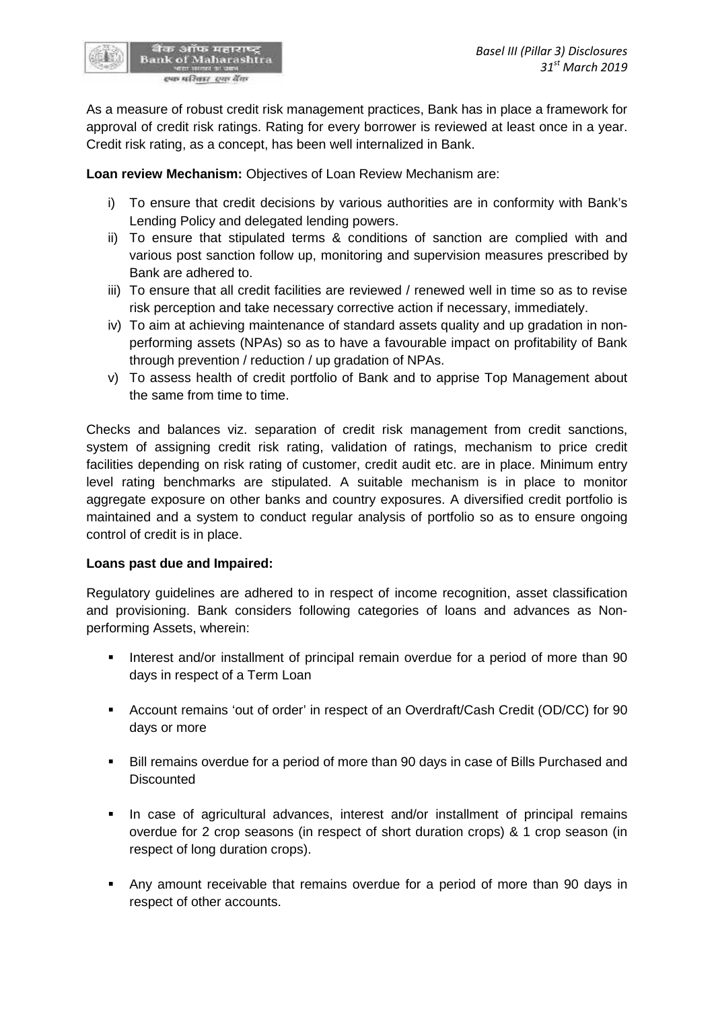As a measure of robust credit risk management practices, Bank has in place a framework for approval of credit risk ratings. Rating for every borrower is reviewed at least once in a year. Credit risk rating, as a concept, has been well internalized in Bank.

**Loan review Mechanism:** Objectives of Loan Review Mechanism are:

- i) To ensure that credit decisions by various authorities are in conformity with Bank's Lending Policy and delegated lending powers.
- ii) To ensure that stipulated terms & conditions of sanction are complied with and various post sanction follow up, monitoring and supervision measures prescribed by Bank are adhered to.
- iii) To ensure that all credit facilities are reviewed / renewed well in time so as to revise risk perception and take necessary corrective action if necessary, immediately.
- iv) To aim at achieving maintenance of standard assets quality and up gradation in non performing assets (NPAs) so as to have a favourable impact on profitability of Bank through prevention / reduction / up gradation of NPAs.
- v) To assess health of credit portfolio of Bank and to apprise Top Management about the same from time to time.

Checks and balances viz. separation of credit risk management from credit sanctions, system of assigning credit risk rating, validation of ratings, mechanism to price credit facilities depending on risk rating of customer, credit audit etc. are in place. Minimum entry level rating benchmarks are stipulated. A suitable mechanism is in place to monitor aggregate exposure on other banks and country exposures. A diversified credit portfolio is maintained and a system to conduct regular analysis of portfolio so as to ensure ongoing control of credit is in place.

#### **Loans past due and Impaired:**

Regulatory guidelines are adhered to in respect of income recognition, asset classification and provisioning. Bank considers following categories of loans and advances as Non performing Assets, wherein:

- Interest and/or installment of principal remain overdue for a period of more than 90 days in respect of a Term Loan
- Account remains 'out of order' in respect of an Overdraft/Cash Credit (OD/CC) for 90 days or more
- Bill remains overdue for a period of more than 90 days in case of Bills Purchased and **Discounted**
- In case of agricultural advances, interest and/or installment of principal remains overdue for 2 crop seasons (in respect of short duration crops) & 1 crop season (in respect of long duration crops).
- Any amount receivable that remains overdue for a period of more than 90 days in respect of other accounts.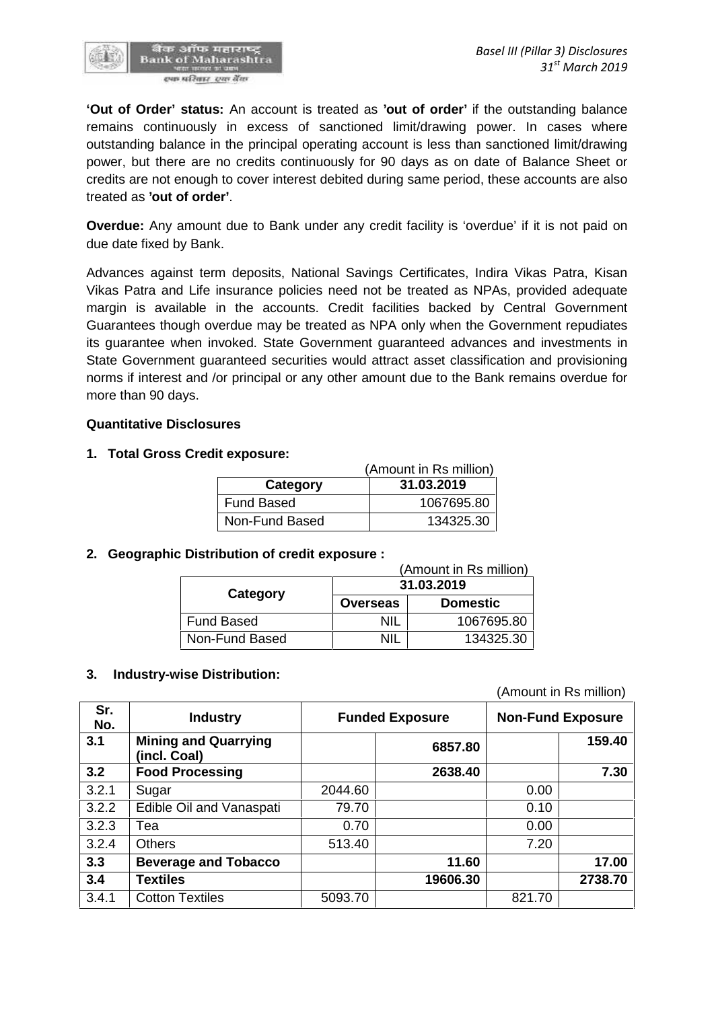

**'Out of Order' status:** An account is treated as **'out of order'** if the outstanding balance remains continuously in excess of sanctioned limit/drawing power. In cases where outstanding balance in the principal operating account is less than sanctioned limit/drawing power, but there are no credits continuously for 90 days as on date of Balance Sheet or credits are not enough to cover interest debited during same period, these accounts are also treated as **'out of order'**.

**Overdue:** Any amount due to Bank under any credit facility is 'overdue' if it is not paid on due date fixed by Bank.

Advances against term deposits, National Savings Certificates, Indira Vikas Patra, Kisan Vikas Patra and Life insurance policies need not be treated as NPAs, provided adequate margin is available in the accounts. Credit facilities backed by Central Government Guarantees though overdue may be treated as NPA only when the Government repudiates its guarantee when invoked. State Government guaranteed advances and investments in State Government guaranteed securities would attract asset classification and provisioning norms if interest and /or principal or any other amount due to the Bank remains overdue for more than 90 days.

#### **Quantitative Disclosures**

#### **1. Total Gross Credit exposure:**

|                | (Amount in Rs million) |  |  |
|----------------|------------------------|--|--|
| Category       | 31.03.2019             |  |  |
| Fund Based     | 1067695.80             |  |  |
| Non-Fund Based | 134325.30              |  |  |

#### **2. Geographic Distribution of credit exposure :**

| (Amount in Rs million) |                 |                 |  |  |  |
|------------------------|-----------------|-----------------|--|--|--|
|                        | 31.03.2019      |                 |  |  |  |
| Category               | <b>Overseas</b> | <b>Domestic</b> |  |  |  |
| Fund Based             | NIL             | 1067695.80      |  |  |  |
| Non-Fund Based         | NII             | 134325.30       |  |  |  |

#### **3. Industry-wise Distribution:**

(Amount in Rs million)

| Sr.<br>No. | <b>Industry</b>                             | <b>Funded Exposure</b> |          | <b>Non-Fund Exposure</b> |         |
|------------|---------------------------------------------|------------------------|----------|--------------------------|---------|
| 3.1        | <b>Mining and Quarrying</b><br>(incl. Coal) |                        | 6857.80  |                          | 159.40  |
| 3.2        | <b>Food Processing</b>                      |                        | 2638.40  |                          | 7.30    |
| 3.2.1      | Sugar                                       | 2044.60                |          | 0.00                     |         |
| 3.2.2      | Edible Oil and Vanaspati                    | 79.70                  |          | 0.10                     |         |
| 3.2.3      | Tea                                         | 0.70                   |          | 0.00                     |         |
| 3.2.4      | <b>Others</b>                               | 513.40                 |          | 7.20                     |         |
| 3.3        | <b>Beverage and Tobacco</b>                 |                        | 11.60    |                          | 17.00   |
| 3.4        | <b>Textiles</b>                             |                        | 19606.30 |                          | 2738.70 |
| 3.4.1      | <b>Cotton Textiles</b>                      | 5093.70                |          | 821.70                   |         |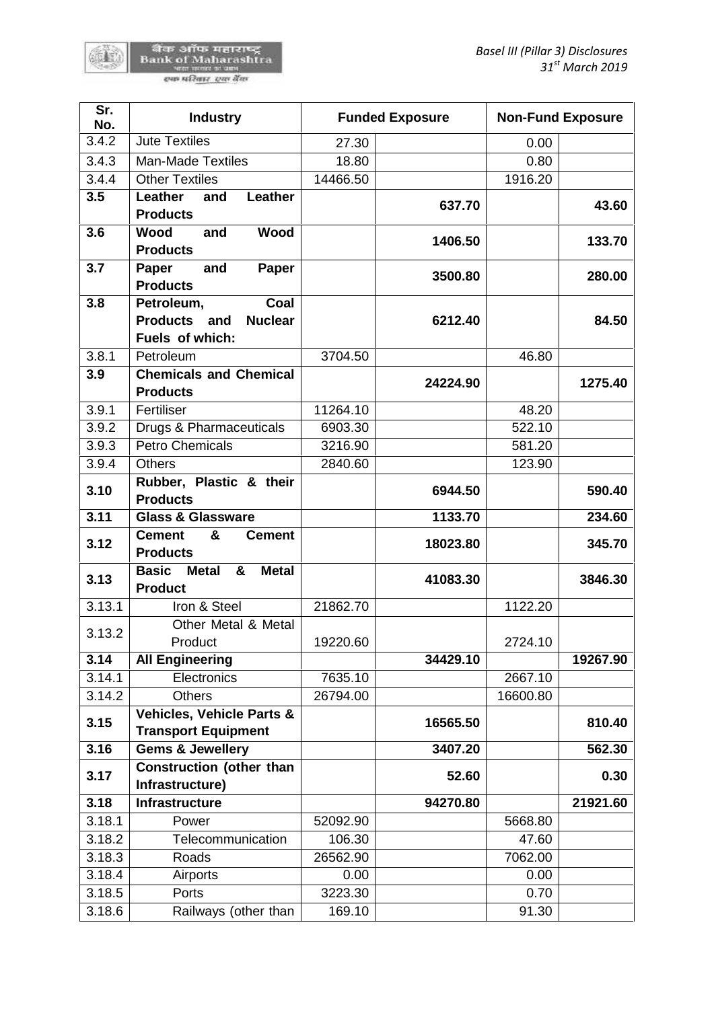硫酸

| Sr.<br>No.       | <b>Industry</b>                                                      |          | <b>Funded Exposure</b> | <b>Non-Fund Exposure</b> |                                                  |
|------------------|----------------------------------------------------------------------|----------|------------------------|--------------------------|--------------------------------------------------|
| 3.4.2            | <b>Jute Textiles</b>                                                 | 27.30    |                        | 0.00                     |                                                  |
| 3.4.3            | <b>Man-Made Textiles</b>                                             | 18.80    |                        | 0.80                     |                                                  |
| 3.4.4            | <b>Other Textiles</b>                                                | 14466.50 |                        | 1916.20                  |                                                  |
| 3.5              | Leather<br>Leather<br>and                                            |          |                        |                          |                                                  |
|                  | <b>Products</b>                                                      |          | 637.70                 |                          | 43.60                                            |
| 3.6              | <b>Wood</b><br><b>Wood</b><br>and                                    |          | 1406.50                |                          | 133.70                                           |
|                  | <b>Products</b>                                                      |          |                        |                          |                                                  |
| 3.7              | and<br>Paper<br>Paper                                                |          | 3500.80                |                          | 280.00                                           |
|                  | <b>Products</b>                                                      |          |                        |                          |                                                  |
| 3.8              | Petroleum,<br>Coal                                                   |          |                        |                          |                                                  |
|                  | <b>Products</b><br>and<br><b>Nuclear</b>                             |          | 6212.40                |                          | 84.50                                            |
|                  | Fuels of which:                                                      |          |                        |                          |                                                  |
| 3.8.1            | Petroleum                                                            | 3704.50  |                        | 46.80                    |                                                  |
| 3.9              | <b>Chemicals and Chemical</b>                                        |          | 24224.90               |                          | 1275.40                                          |
|                  | <b>Products</b><br>Fertiliser                                        |          |                        |                          |                                                  |
| 3.9.1            |                                                                      | 11264.10 |                        | 48.20                    |                                                  |
| 3.9.2            | Drugs & Pharmaceuticals<br><b>Petro Chemicals</b>                    | 6903.30  |                        | 522.10                   |                                                  |
| 3.9.3            |                                                                      | 3216.90  |                        | 581.20                   |                                                  |
| 3.9.4            | <b>Others</b><br>Rubber, Plastic & their                             | 2840.60  |                        | 123.90                   |                                                  |
| 3.10             | <b>Products</b>                                                      |          | 6944.50                |                          | 590.40                                           |
| 3.11             | <b>Glass &amp; Glassware</b>                                         |          | 1133.70                |                          | 234.60                                           |
|                  |                                                                      |          |                        |                          |                                                  |
| 3.12             | <b>Cement</b><br>&<br><b>Cement</b>                                  |          | 18023.80               |                          | 345.70                                           |
|                  | <b>Products</b><br><b>Basic</b><br><b>Metal</b><br>&<br><b>Metal</b> |          |                        |                          |                                                  |
|                  | <b>Product</b>                                                       |          | 41083.30               |                          |                                                  |
| 3.13<br>3.13.1   | Iron & Steel                                                         | 21862.70 |                        | 1122.20                  | 3846.30                                          |
|                  | Other Metal & Metal                                                  |          |                        |                          |                                                  |
| 3.13.2           | Product                                                              | 19220.60 |                        | 2724.10                  |                                                  |
| 3.14             | <b>All Engineering</b>                                               |          | 34429.10               |                          |                                                  |
|                  | Electronics                                                          | 7635.10  |                        | 2667.10                  |                                                  |
| 3.14.1<br>3.14.2 | <b>Others</b>                                                        | 26794.00 |                        | 16600.80                 |                                                  |
|                  | Vehicles, Vehicle Parts &                                            |          |                        |                          |                                                  |
| 3.15             | <b>Transport Equipment</b>                                           |          | 16565.50               |                          |                                                  |
| 3.16             | <b>Gems &amp; Jewellery</b>                                          |          | 3407.20                |                          |                                                  |
| 3.17             | <b>Construction (other than</b><br>Infrastructure)                   |          | 52.60                  |                          |                                                  |
| 3.18             | <b>Infrastructure</b>                                                |          | 94270.80               |                          |                                                  |
| 3.18.1           | Power                                                                | 52092.90 |                        | 5668.80                  | 19267.90<br>810.40<br>562.30<br>0.30<br>21921.60 |
| 3.18.2           | Telecommunication                                                    | 106.30   |                        | 47.60                    |                                                  |
| 3.18.3           | Roads                                                                | 26562.90 |                        | 7062.00                  |                                                  |
| 3.18.4           | Airports                                                             | 0.00     |                        | 0.00                     |                                                  |
| 3.18.5           | Ports                                                                | 3223.30  |                        | 0.70                     |                                                  |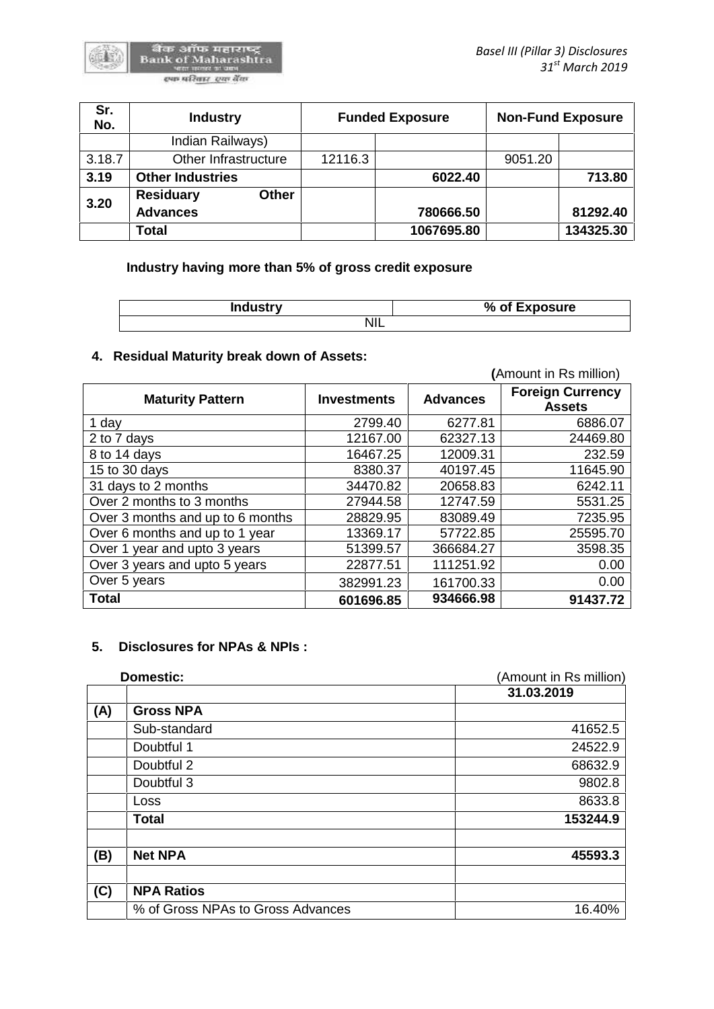| Sr.<br>No. | <b>Industry</b>                  |         | <b>Funded Exposure</b> |         | <b>Non-Fund Exposure</b> |
|------------|----------------------------------|---------|------------------------|---------|--------------------------|
|            | Indian Railways)                 |         |                        |         |                          |
| 3.18.7     | Other Infrastructure             | 12116.3 |                        | 9051.20 |                          |
| 3.19       | <b>Other Industries</b>          |         | 6022.40                |         | 713.80                   |
| 3.20       | <b>Residuary</b><br><b>Other</b> |         |                        |         |                          |
|            | <b>Advances</b>                  |         | 780666.50              |         | 81292.40                 |
|            | Total                            |         | 1067695.80             |         | 134325.30                |

**Industry having more than 5% of gross credit exposure**

| <b>Industry</b> | % of Exposure |
|-----------------|---------------|
| ΝIΙ<br>◥▮∟      |               |

# **4. Residual Maturity break down of Assets:**

|                                  |                    |                 | (Amount in Rs million)                   |
|----------------------------------|--------------------|-----------------|------------------------------------------|
| <b>Maturity Pattern</b>          | <b>Investments</b> | <b>Advances</b> | <b>Foreign Currency</b><br><b>Assets</b> |
| 1 day                            | 2799.40            | 6277.81         | 6886.07                                  |
| 2 to 7 days                      | 12167.00           | 62327.13        | 24469.80                                 |
| 8 to 14 days                     | 16467.25           | 12009.31        | 232.59                                   |
| 15 to 30 days                    | 8380.37            | 40197.45        | 11645.90                                 |
| 31 days to 2 months              | 34470.82           | 20658.83        | 6242.11                                  |
| Over 2 months to 3 months        | 27944.58           | 12747.59        | 5531.25                                  |
| Over 3 months and up to 6 months | 28829.95           | 83089.49        | 7235.95                                  |
| Over 6 months and up to 1 year   | 13369.17           | 57722.85        | 25595.70                                 |
| Over 1 year and upto 3 years     | 51399.57           | 366684.27       | 3598.35                                  |
| Over 3 years and upto 5 years    | 22877.51           | 111251.92       | 0.00                                     |
| Over 5 years                     | 382991.23          | 161700.33       | 0.00                                     |
| <b>Total</b>                     | 601696.85          | 934666.98       | 91437.72                                 |

#### **5. Disclosures for NPAs & NPIs :**

| Domestic:                         | (Amount in Rs million) |
|-----------------------------------|------------------------|
|                                   | 31.03.2019             |
| (A)<br><b>Gross NPA</b>           |                        |
| Sub-standard                      | 41652.5                |
| Doubtful 1                        | 24522.9                |
| Doubtful 2                        | 68632.9                |
| Doubtful 3                        | 9802.8                 |
| Loss                              | 8633.8                 |
| <b>Total</b>                      | 153244.9               |
| (B)<br><b>Net NPA</b>             | 45593.3                |
| (C)<br><b>NPA Ratios</b>          |                        |
| % of Gross NPAs to Gross Advances | 16.40%                 |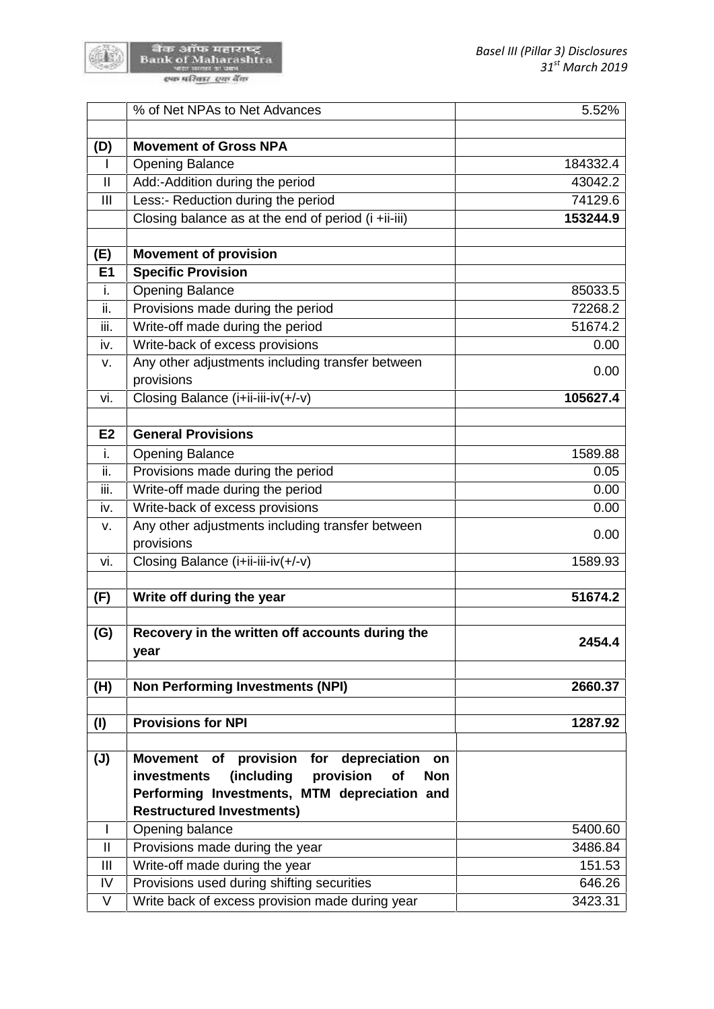

बैंक ऑफ महाराष्ट्र<br>Bank of Maharashtra<br>स्विमेशिक स्वर्गदेव

| <b>Movement of Gross NPA</b><br><b>Opening Balance</b><br>184332.4<br>$\mathsf{I}$<br>$\mathbf{  }% =\mathbf{1}^{T}\mathbf{1}^{T}\mathbf{1}^{T}\mathbf{1}^{T}\mathbf{1}^{T}\mathbf{1}^{T}\mathbf{1}^{T}\mathbf{1}^{T}\mathbf{1}^{T}\mathbf{1}^{T}\mathbf{1}^{T}\mathbf{1}^{T}\mathbf{1}^{T}\mathbf{1}^{T}\mathbf{1}^{T}\mathbf{1}^{T}\mathbf{1}^{T}\mathbf{1}^{T}\mathbf{1}^{T}\mathbf{1}^{T}\mathbf{1}^{T}\mathbf{1}^{T}\mathbf{1}^{T}\mathbf{1}^{T}\mathbf{1}^{T}\mathbf{1}^{T}\mathbf{1$<br>Add:-Addition during the period<br>43042.2<br>Less:- Reduction during the period<br>III<br>74129.6<br>Closing balance as at the end of period (i +ii-iii)<br>153244.9<br><b>Movement of provision</b><br><b>Specific Provision</b><br>E1<br>i.<br><b>Opening Balance</b><br>85033.5<br>ii.<br>Provisions made during the period<br>72268.2<br>iii.<br>Write-off made during the period<br>51674.2<br>Write-back of excess provisions<br>0.00<br>iv.<br>Any other adjustments including transfer between<br>v.<br>0.00<br>provisions<br>Closing Balance (i+ii-iii-iv(+/-v)<br>105627.4<br>vi.<br><b>General Provisions</b><br>E <sub>2</sub><br>i.<br><b>Opening Balance</b><br>1589.88<br>ii.<br>Provisions made during the period<br>0.05<br>Write-off made during the period<br>iii.<br>0.00<br>Write-back of excess provisions<br>0.00<br>iv.<br>Any other adjustments including transfer between<br>v.<br>0.00<br>provisions<br>Closing Balance (i+ii-iii-iv(+/-v)<br>1589.93<br>vi.<br>Write off during the year<br>51674.2<br>Recovery in the written off accounts during the<br>2454.4<br>year<br><b>Non Performing Investments (NPI)</b><br>2660.37<br><b>Provisions for NPI</b><br>1287.92<br>of provision for<br>depreciation on<br><b>Movement</b><br>(including<br>provision<br>of<br>investments<br><b>Non</b><br>Performing Investments, MTM depreciation and<br><b>Restructured Investments)</b><br>Opening balance<br>5400.60<br>L<br>$\mathbf{  }% =\mathbf{1}^{T}\mathbf{1}^{T}\mathbf{1}^{T}\mathbf{1}^{T}\mathbf{1}^{T}\mathbf{1}^{T}\mathbf{1}^{T}\mathbf{1}^{T}\mathbf{1}^{T}\mathbf{1}^{T}\mathbf{1}^{T}\mathbf{1}^{T}\mathbf{1}^{T}\mathbf{1}^{T}\mathbf{1}^{T}\mathbf{1}^{T}\mathbf{1}^{T}\mathbf{1}^{T}\mathbf{1}^{T}\mathbf{1}^{T}\mathbf{1}^{T}\mathbf{1}^{T}\mathbf{1}^{T}\mathbf{1}^{T}\mathbf{1}^{T}\mathbf{1}^{T}\mathbf{1$<br>Provisions made during the year<br>3486.84<br>Write-off made during the year<br>Ш<br>151.53<br>Provisions used during shifting securities<br>IV<br>646.26<br>V<br>Write back of excess provision made during year<br>3423.31 |                | % of Net NPAs to Net Advances | 5.52% |
|--------------------------------------------------------------------------------------------------------------------------------------------------------------------------------------------------------------------------------------------------------------------------------------------------------------------------------------------------------------------------------------------------------------------------------------------------------------------------------------------------------------------------------------------------------------------------------------------------------------------------------------------------------------------------------------------------------------------------------------------------------------------------------------------------------------------------------------------------------------------------------------------------------------------------------------------------------------------------------------------------------------------------------------------------------------------------------------------------------------------------------------------------------------------------------------------------------------------------------------------------------------------------------------------------------------------------------------------------------------------------------------------------------------------------------------------------------------------------------------------------------------------------------------------------------------------------------------------------------------------------------------------------------------------------------------------------------------------------------------------------------------------------------------------------------------------------------------------------------------------------------------------------------------------------------------------------------------------------------------------------------------------------------------------------------------------------------------------------------------------------------------------------------------------------------------------------------------------------------------------------------------------------------------------------------------------------------------------------------------------------------------------------------------------------------------------------------------------------------------------------------------------------------------------------------------------------------------------|----------------|-------------------------------|-------|
|                                                                                                                                                                                                                                                                                                                                                                                                                                                                                                                                                                                                                                                                                                                                                                                                                                                                                                                                                                                                                                                                                                                                                                                                                                                                                                                                                                                                                                                                                                                                                                                                                                                                                                                                                                                                                                                                                                                                                                                                                                                                                                                                                                                                                                                                                                                                                                                                                                                                                                                                                                                            |                |                               |       |
|                                                                                                                                                                                                                                                                                                                                                                                                                                                                                                                                                                                                                                                                                                                                                                                                                                                                                                                                                                                                                                                                                                                                                                                                                                                                                                                                                                                                                                                                                                                                                                                                                                                                                                                                                                                                                                                                                                                                                                                                                                                                                                                                                                                                                                                                                                                                                                                                                                                                                                                                                                                            | (D)            |                               |       |
|                                                                                                                                                                                                                                                                                                                                                                                                                                                                                                                                                                                                                                                                                                                                                                                                                                                                                                                                                                                                                                                                                                                                                                                                                                                                                                                                                                                                                                                                                                                                                                                                                                                                                                                                                                                                                                                                                                                                                                                                                                                                                                                                                                                                                                                                                                                                                                                                                                                                                                                                                                                            |                |                               |       |
|                                                                                                                                                                                                                                                                                                                                                                                                                                                                                                                                                                                                                                                                                                                                                                                                                                                                                                                                                                                                                                                                                                                                                                                                                                                                                                                                                                                                                                                                                                                                                                                                                                                                                                                                                                                                                                                                                                                                                                                                                                                                                                                                                                                                                                                                                                                                                                                                                                                                                                                                                                                            |                |                               |       |
|                                                                                                                                                                                                                                                                                                                                                                                                                                                                                                                                                                                                                                                                                                                                                                                                                                                                                                                                                                                                                                                                                                                                                                                                                                                                                                                                                                                                                                                                                                                                                                                                                                                                                                                                                                                                                                                                                                                                                                                                                                                                                                                                                                                                                                                                                                                                                                                                                                                                                                                                                                                            |                |                               |       |
|                                                                                                                                                                                                                                                                                                                                                                                                                                                                                                                                                                                                                                                                                                                                                                                                                                                                                                                                                                                                                                                                                                                                                                                                                                                                                                                                                                                                                                                                                                                                                                                                                                                                                                                                                                                                                                                                                                                                                                                                                                                                                                                                                                                                                                                                                                                                                                                                                                                                                                                                                                                            |                |                               |       |
|                                                                                                                                                                                                                                                                                                                                                                                                                                                                                                                                                                                                                                                                                                                                                                                                                                                                                                                                                                                                                                                                                                                                                                                                                                                                                                                                                                                                                                                                                                                                                                                                                                                                                                                                                                                                                                                                                                                                                                                                                                                                                                                                                                                                                                                                                                                                                                                                                                                                                                                                                                                            | (E)            |                               |       |
|                                                                                                                                                                                                                                                                                                                                                                                                                                                                                                                                                                                                                                                                                                                                                                                                                                                                                                                                                                                                                                                                                                                                                                                                                                                                                                                                                                                                                                                                                                                                                                                                                                                                                                                                                                                                                                                                                                                                                                                                                                                                                                                                                                                                                                                                                                                                                                                                                                                                                                                                                                                            |                |                               |       |
|                                                                                                                                                                                                                                                                                                                                                                                                                                                                                                                                                                                                                                                                                                                                                                                                                                                                                                                                                                                                                                                                                                                                                                                                                                                                                                                                                                                                                                                                                                                                                                                                                                                                                                                                                                                                                                                                                                                                                                                                                                                                                                                                                                                                                                                                                                                                                                                                                                                                                                                                                                                            |                |                               |       |
|                                                                                                                                                                                                                                                                                                                                                                                                                                                                                                                                                                                                                                                                                                                                                                                                                                                                                                                                                                                                                                                                                                                                                                                                                                                                                                                                                                                                                                                                                                                                                                                                                                                                                                                                                                                                                                                                                                                                                                                                                                                                                                                                                                                                                                                                                                                                                                                                                                                                                                                                                                                            |                |                               |       |
|                                                                                                                                                                                                                                                                                                                                                                                                                                                                                                                                                                                                                                                                                                                                                                                                                                                                                                                                                                                                                                                                                                                                                                                                                                                                                                                                                                                                                                                                                                                                                                                                                                                                                                                                                                                                                                                                                                                                                                                                                                                                                                                                                                                                                                                                                                                                                                                                                                                                                                                                                                                            |                |                               |       |
|                                                                                                                                                                                                                                                                                                                                                                                                                                                                                                                                                                                                                                                                                                                                                                                                                                                                                                                                                                                                                                                                                                                                                                                                                                                                                                                                                                                                                                                                                                                                                                                                                                                                                                                                                                                                                                                                                                                                                                                                                                                                                                                                                                                                                                                                                                                                                                                                                                                                                                                                                                                            |                |                               |       |
|                                                                                                                                                                                                                                                                                                                                                                                                                                                                                                                                                                                                                                                                                                                                                                                                                                                                                                                                                                                                                                                                                                                                                                                                                                                                                                                                                                                                                                                                                                                                                                                                                                                                                                                                                                                                                                                                                                                                                                                                                                                                                                                                                                                                                                                                                                                                                                                                                                                                                                                                                                                            |                |                               |       |
|                                                                                                                                                                                                                                                                                                                                                                                                                                                                                                                                                                                                                                                                                                                                                                                                                                                                                                                                                                                                                                                                                                                                                                                                                                                                                                                                                                                                                                                                                                                                                                                                                                                                                                                                                                                                                                                                                                                                                                                                                                                                                                                                                                                                                                                                                                                                                                                                                                                                                                                                                                                            |                |                               |       |
|                                                                                                                                                                                                                                                                                                                                                                                                                                                                                                                                                                                                                                                                                                                                                                                                                                                                                                                                                                                                                                                                                                                                                                                                                                                                                                                                                                                                                                                                                                                                                                                                                                                                                                                                                                                                                                                                                                                                                                                                                                                                                                                                                                                                                                                                                                                                                                                                                                                                                                                                                                                            |                |                               |       |
|                                                                                                                                                                                                                                                                                                                                                                                                                                                                                                                                                                                                                                                                                                                                                                                                                                                                                                                                                                                                                                                                                                                                                                                                                                                                                                                                                                                                                                                                                                                                                                                                                                                                                                                                                                                                                                                                                                                                                                                                                                                                                                                                                                                                                                                                                                                                                                                                                                                                                                                                                                                            |                |                               |       |
|                                                                                                                                                                                                                                                                                                                                                                                                                                                                                                                                                                                                                                                                                                                                                                                                                                                                                                                                                                                                                                                                                                                                                                                                                                                                                                                                                                                                                                                                                                                                                                                                                                                                                                                                                                                                                                                                                                                                                                                                                                                                                                                                                                                                                                                                                                                                                                                                                                                                                                                                                                                            |                |                               |       |
|                                                                                                                                                                                                                                                                                                                                                                                                                                                                                                                                                                                                                                                                                                                                                                                                                                                                                                                                                                                                                                                                                                                                                                                                                                                                                                                                                                                                                                                                                                                                                                                                                                                                                                                                                                                                                                                                                                                                                                                                                                                                                                                                                                                                                                                                                                                                                                                                                                                                                                                                                                                            |                |                               |       |
|                                                                                                                                                                                                                                                                                                                                                                                                                                                                                                                                                                                                                                                                                                                                                                                                                                                                                                                                                                                                                                                                                                                                                                                                                                                                                                                                                                                                                                                                                                                                                                                                                                                                                                                                                                                                                                                                                                                                                                                                                                                                                                                                                                                                                                                                                                                                                                                                                                                                                                                                                                                            |                |                               |       |
|                                                                                                                                                                                                                                                                                                                                                                                                                                                                                                                                                                                                                                                                                                                                                                                                                                                                                                                                                                                                                                                                                                                                                                                                                                                                                                                                                                                                                                                                                                                                                                                                                                                                                                                                                                                                                                                                                                                                                                                                                                                                                                                                                                                                                                                                                                                                                                                                                                                                                                                                                                                            |                |                               |       |
|                                                                                                                                                                                                                                                                                                                                                                                                                                                                                                                                                                                                                                                                                                                                                                                                                                                                                                                                                                                                                                                                                                                                                                                                                                                                                                                                                                                                                                                                                                                                                                                                                                                                                                                                                                                                                                                                                                                                                                                                                                                                                                                                                                                                                                                                                                                                                                                                                                                                                                                                                                                            |                |                               |       |
|                                                                                                                                                                                                                                                                                                                                                                                                                                                                                                                                                                                                                                                                                                                                                                                                                                                                                                                                                                                                                                                                                                                                                                                                                                                                                                                                                                                                                                                                                                                                                                                                                                                                                                                                                                                                                                                                                                                                                                                                                                                                                                                                                                                                                                                                                                                                                                                                                                                                                                                                                                                            |                |                               |       |
|                                                                                                                                                                                                                                                                                                                                                                                                                                                                                                                                                                                                                                                                                                                                                                                                                                                                                                                                                                                                                                                                                                                                                                                                                                                                                                                                                                                                                                                                                                                                                                                                                                                                                                                                                                                                                                                                                                                                                                                                                                                                                                                                                                                                                                                                                                                                                                                                                                                                                                                                                                                            |                |                               |       |
|                                                                                                                                                                                                                                                                                                                                                                                                                                                                                                                                                                                                                                                                                                                                                                                                                                                                                                                                                                                                                                                                                                                                                                                                                                                                                                                                                                                                                                                                                                                                                                                                                                                                                                                                                                                                                                                                                                                                                                                                                                                                                                                                                                                                                                                                                                                                                                                                                                                                                                                                                                                            | (F)            |                               |       |
|                                                                                                                                                                                                                                                                                                                                                                                                                                                                                                                                                                                                                                                                                                                                                                                                                                                                                                                                                                                                                                                                                                                                                                                                                                                                                                                                                                                                                                                                                                                                                                                                                                                                                                                                                                                                                                                                                                                                                                                                                                                                                                                                                                                                                                                                                                                                                                                                                                                                                                                                                                                            | (G)            |                               |       |
|                                                                                                                                                                                                                                                                                                                                                                                                                                                                                                                                                                                                                                                                                                                                                                                                                                                                                                                                                                                                                                                                                                                                                                                                                                                                                                                                                                                                                                                                                                                                                                                                                                                                                                                                                                                                                                                                                                                                                                                                                                                                                                                                                                                                                                                                                                                                                                                                                                                                                                                                                                                            | (H)            |                               |       |
|                                                                                                                                                                                                                                                                                                                                                                                                                                                                                                                                                                                                                                                                                                                                                                                                                                                                                                                                                                                                                                                                                                                                                                                                                                                                                                                                                                                                                                                                                                                                                                                                                                                                                                                                                                                                                                                                                                                                                                                                                                                                                                                                                                                                                                                                                                                                                                                                                                                                                                                                                                                            | (1)            |                               |       |
|                                                                                                                                                                                                                                                                                                                                                                                                                                                                                                                                                                                                                                                                                                                                                                                                                                                                                                                                                                                                                                                                                                                                                                                                                                                                                                                                                                                                                                                                                                                                                                                                                                                                                                                                                                                                                                                                                                                                                                                                                                                                                                                                                                                                                                                                                                                                                                                                                                                                                                                                                                                            |                |                               |       |
|                                                                                                                                                                                                                                                                                                                                                                                                                                                                                                                                                                                                                                                                                                                                                                                                                                                                                                                                                                                                                                                                                                                                                                                                                                                                                                                                                                                                                                                                                                                                                                                                                                                                                                                                                                                                                                                                                                                                                                                                                                                                                                                                                                                                                                                                                                                                                                                                                                                                                                                                                                                            | $(\mathsf{U})$ |                               |       |
|                                                                                                                                                                                                                                                                                                                                                                                                                                                                                                                                                                                                                                                                                                                                                                                                                                                                                                                                                                                                                                                                                                                                                                                                                                                                                                                                                                                                                                                                                                                                                                                                                                                                                                                                                                                                                                                                                                                                                                                                                                                                                                                                                                                                                                                                                                                                                                                                                                                                                                                                                                                            |                |                               |       |
|                                                                                                                                                                                                                                                                                                                                                                                                                                                                                                                                                                                                                                                                                                                                                                                                                                                                                                                                                                                                                                                                                                                                                                                                                                                                                                                                                                                                                                                                                                                                                                                                                                                                                                                                                                                                                                                                                                                                                                                                                                                                                                                                                                                                                                                                                                                                                                                                                                                                                                                                                                                            |                |                               |       |
|                                                                                                                                                                                                                                                                                                                                                                                                                                                                                                                                                                                                                                                                                                                                                                                                                                                                                                                                                                                                                                                                                                                                                                                                                                                                                                                                                                                                                                                                                                                                                                                                                                                                                                                                                                                                                                                                                                                                                                                                                                                                                                                                                                                                                                                                                                                                                                                                                                                                                                                                                                                            |                |                               |       |
|                                                                                                                                                                                                                                                                                                                                                                                                                                                                                                                                                                                                                                                                                                                                                                                                                                                                                                                                                                                                                                                                                                                                                                                                                                                                                                                                                                                                                                                                                                                                                                                                                                                                                                                                                                                                                                                                                                                                                                                                                                                                                                                                                                                                                                                                                                                                                                                                                                                                                                                                                                                            |                |                               |       |
|                                                                                                                                                                                                                                                                                                                                                                                                                                                                                                                                                                                                                                                                                                                                                                                                                                                                                                                                                                                                                                                                                                                                                                                                                                                                                                                                                                                                                                                                                                                                                                                                                                                                                                                                                                                                                                                                                                                                                                                                                                                                                                                                                                                                                                                                                                                                                                                                                                                                                                                                                                                            |                |                               |       |
|                                                                                                                                                                                                                                                                                                                                                                                                                                                                                                                                                                                                                                                                                                                                                                                                                                                                                                                                                                                                                                                                                                                                                                                                                                                                                                                                                                                                                                                                                                                                                                                                                                                                                                                                                                                                                                                                                                                                                                                                                                                                                                                                                                                                                                                                                                                                                                                                                                                                                                                                                                                            |                |                               |       |
|                                                                                                                                                                                                                                                                                                                                                                                                                                                                                                                                                                                                                                                                                                                                                                                                                                                                                                                                                                                                                                                                                                                                                                                                                                                                                                                                                                                                                                                                                                                                                                                                                                                                                                                                                                                                                                                                                                                                                                                                                                                                                                                                                                                                                                                                                                                                                                                                                                                                                                                                                                                            |                |                               |       |
|                                                                                                                                                                                                                                                                                                                                                                                                                                                                                                                                                                                                                                                                                                                                                                                                                                                                                                                                                                                                                                                                                                                                                                                                                                                                                                                                                                                                                                                                                                                                                                                                                                                                                                                                                                                                                                                                                                                                                                                                                                                                                                                                                                                                                                                                                                                                                                                                                                                                                                                                                                                            |                |                               |       |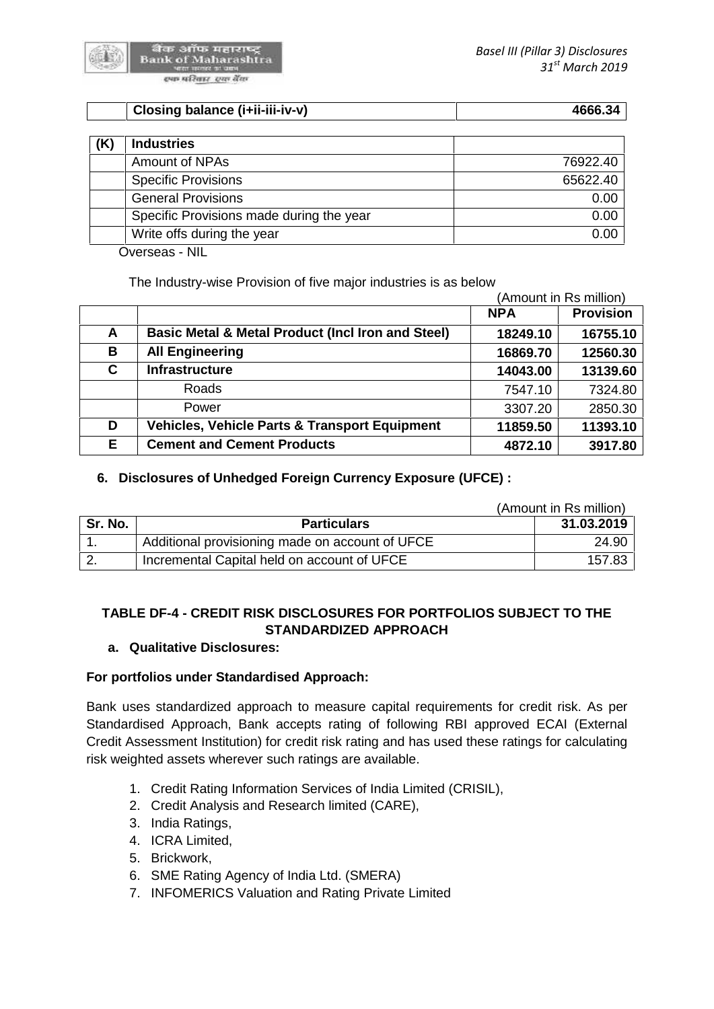| Closing balance (i+ii-iii-iv-v)<br>1666.34 |
|--------------------------------------------|
|--------------------------------------------|

| <b>Industries</b>                        |          |
|------------------------------------------|----------|
| Amount of NPAs                           | 76922.40 |
| <b>Specific Provisions</b>               | 65622.40 |
| <b>General Provisions</b>                | 0.00     |
| Specific Provisions made during the year | 0.00     |
| Write offs during the year               | 0.00     |

Overseas - NIL

The Industry-wise Provision of five major industries is as below

|    |                                                              | (Amount in Rs million) |                  |  |
|----|--------------------------------------------------------------|------------------------|------------------|--|
|    |                                                              | <b>NPA</b>             | <b>Provision</b> |  |
| A  | <b>Basic Metal &amp; Metal Product (Incl Iron and Steel)</b> | 18249.10               | 16755.10         |  |
| В  | <b>All Engineering</b>                                       | 16869.70               | 12560.30         |  |
| C. | <b>Infrastructure</b>                                        | 14043.00               | 13139.60         |  |
|    | Roads                                                        | 7547.10                | 7324.80          |  |
|    | Power                                                        | 3307.20                | 2850.30          |  |
| D  | <b>Vehicles, Vehicle Parts &amp; Transport Equipment</b>     | 11859.50               | 11393.10         |  |
| Е  | <b>Cement and Cement Products</b>                            | 4872.10                | 3917.80          |  |

# **6. Disclosures of Unhedged Foreign Currency Exposure (UFCE) :**

|         |                                                 | (Amount in Rs million) |
|---------|-------------------------------------------------|------------------------|
| Sr. No. | <b>Particulars</b>                              | 31.03.2019             |
|         | Additional provisioning made on account of UFCE | 24.90                  |
|         | Incremental Capital held on account of UFCE     | 157.83                 |

# **TABLE DF-4 - CREDIT RISK DISCLOSURES FOR PORTFOLIOS SUBJECT TO THE STANDARDIZED APPROACH**

#### **a. Qualitative Disclosures:**

# **For portfolios under Standardised Approach:**

Bank uses standardized approach to measure capital requirements for credit risk. As per Standardised Approach, Bank accepts rating of following RBI approved ECAI (External Credit Assessment Institution) for credit risk rating and has used these ratings for calculating risk weighted assets wherever such ratings are available.

- 1. Credit Rating Information Services of India Limited (CRISIL),
- 2. Credit Analysis and Research limited (CARE),
- 3. India Ratings,
- 4. ICRA Limited,
- 5. Brickwork,
- 6. SME Rating Agency of India Ltd. (SMERA)
- 7. INFOMERICS Valuation and Rating Private Limited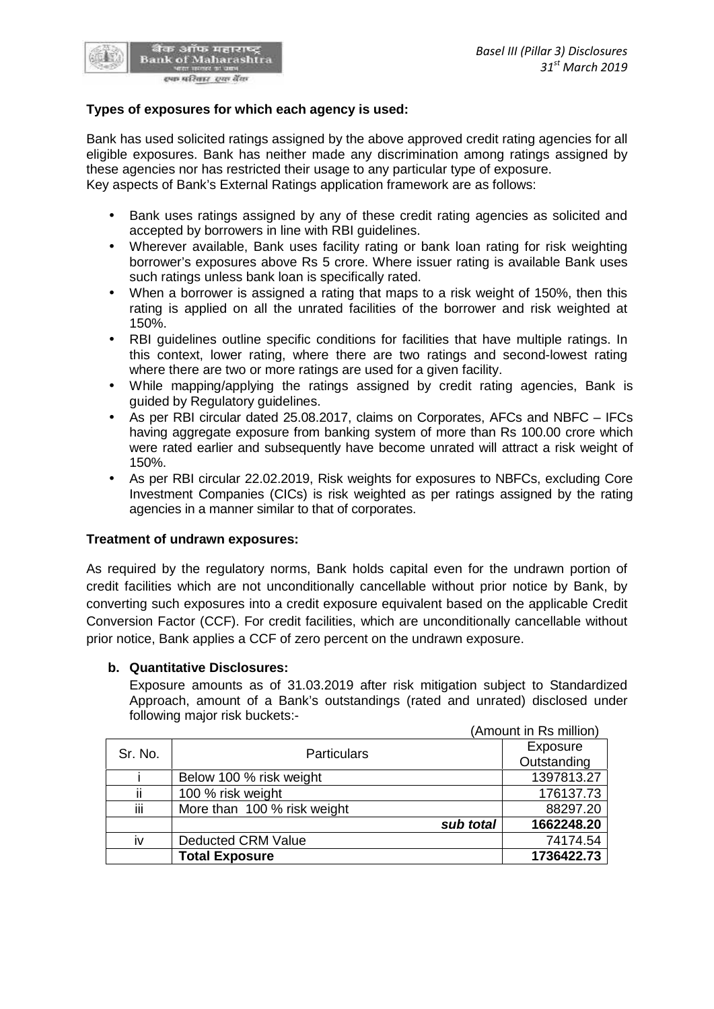

बैंक ऑफ महाराष्ट्र<br>Bank of Maharashtra स्पष्ठ परिवार स्था बैंक

Bank has used solicited ratings assigned by the above approved credit rating agencies for all eligible exposures. Bank has neither made any discrimination among ratings assigned by these agencies nor has restricted their usage to any particular type of exposure. Key aspects of Bank's External Ratings application framework are as follows:

- Bank uses ratings assigned by any of these credit rating agencies as solicited and accepted by borrowers in line with RBI guidelines.
- Wherever available, Bank uses facility rating or bank loan rating for risk weighting borrower's exposures above Rs 5 crore. Where issuer rating is available Bank uses such ratings unless bank loan is specifically rated.
- When a borrower is assigned a rating that maps to a risk weight of 150%, then this rating is applied on all the unrated facilities of the borrower and risk weighted at 150%.
- RBI guidelines outline specific conditions for facilities that have multiple ratings. In this context, lower rating, where there are two ratings and second-lowest rating where there are two or more ratings are used for a given facility.
- While mapping/applying the ratings assigned by credit rating agencies, Bank is guided by Regulatory guidelines.
- As per RBI circular dated 25.08.2017, claims on Corporates, AFCs and NBFC IFCs having aggregate exposure from banking system of more than Rs 100.00 crore which were rated earlier and subsequently have become unrated will attract a risk weight of 150%.
- As per RBI circular 22.02.2019, Risk weights for exposures to NBFCs, excluding Core Investment Companies (CICs) is risk weighted as per ratings assigned by the rating agencies in a manner similar to that of corporates.

#### **Treatment of undrawn exposures:**

As required by the regulatory norms, Bank holds capital even for the undrawn portion of credit facilities which are not unconditionally cancellable without prior notice by Bank, by converting such exposures into a credit exposure equivalent based on the applicable Credit Conversion Factor (CCF). For credit facilities, which are unconditionally cancellable without prior notice, Bank applies a CCF of zero percent on the undrawn exposure.

#### **b. Quantitative Disclosures:**

Exposure amounts as of 31.03.2019 after risk mitigation subject to Standardized Approach, amount of a Bank's outstandings (rated and unrated) disclosed under following major risk buckets:-

|         |                             | (Amount in Rs million) |
|---------|-----------------------------|------------------------|
| Sr. No. | <b>Particulars</b>          | Exposure               |
|         |                             | Outstanding            |
|         | Below 100 % risk weight     | 1397813.27             |
| ii      | 100 % risk weight           | 176137.73              |
| iij     | More than 100 % risk weight | 88297.20               |
|         | sub total                   | 1662248.20             |
| İV      | <b>Deducted CRM Value</b>   | 74174.54               |
|         | <b>Total Exposure</b>       | 1736422.73             |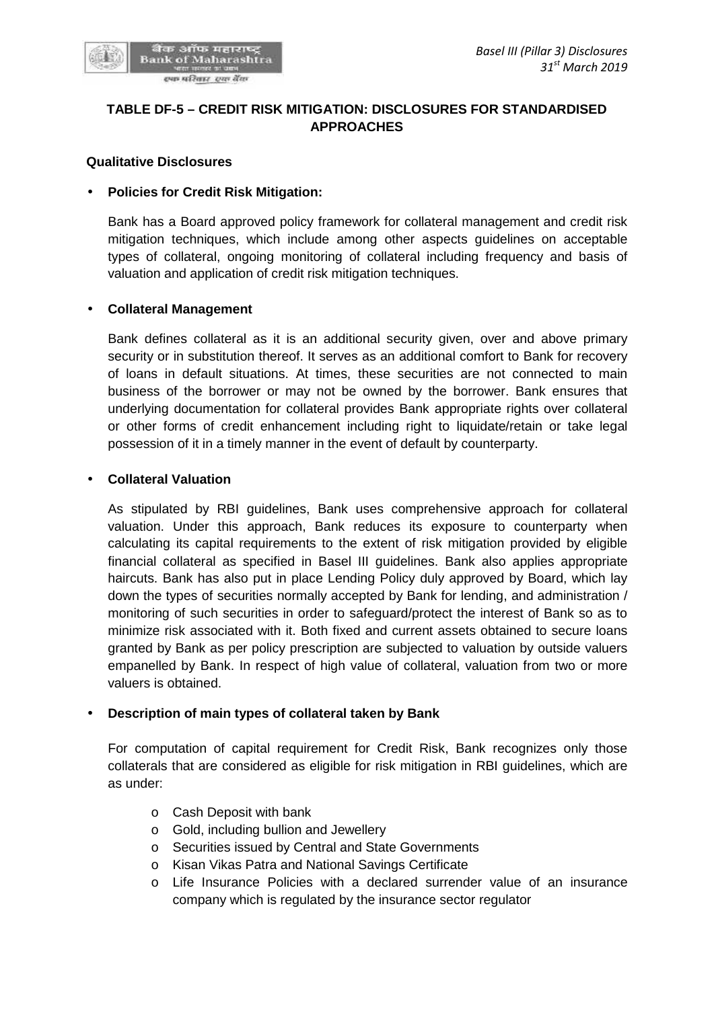

# **TABLE DF-5 – CREDIT RISK MITIGATION: DISCLOSURES FOR STANDARDISED APPROACHES**

#### **Qualitative Disclosures**

#### **Policies for Credit Risk Mitigation:**

Bank has a Board approved policy framework for collateral management and credit risk mitigation techniques, which include among other aspects guidelines on acceptable types of collateral, ongoing monitoring of collateral including frequency and basis of valuation and application of credit risk mitigation techniques.

#### **Collateral Management**

Bank defines collateral as it is an additional security given, over and above primary security or in substitution thereof. It serves as an additional comfort to Bank for recovery of loans in default situations. At times, these securities are not connected to main business of the borrower or may not be owned by the borrower. Bank ensures that underlying documentation for collateral provides Bank appropriate rights over collateral or other forms of credit enhancement including right to liquidate/retain or take legal possession of it in a timely manner in the event of default by counterparty.

#### **Collateral Valuation**

As stipulated by RBI guidelines, Bank uses comprehensive approach for collateral valuation. Under this approach, Bank reduces its exposure to counterparty when calculating its capital requirements to the extent of risk mitigation provided by eligible financial collateral as specified in Basel III guidelines. Bank also applies appropriate haircuts. Bank has also put in place Lending Policy duly approved by Board, which lay down the types of securities normally accepted by Bank for lending, and administration / monitoring of such securities in order to safeguard/protect the interest of Bank so as to minimize risk associated with it. Both fixed and current assets obtained to secure loans granted by Bank as per policy prescription are subjected to valuation by outside valuers empanelled by Bank. In respect of high value of collateral, valuation from two or more valuers is obtained.

#### **Description of main types of collateral taken by Bank**

For computation of capital requirement for Credit Risk, Bank recognizes only those collaterals that are considered as eligible for risk mitigation in RBI guidelines, which are as under:

- o Cash Deposit with bank
- o Gold, including bullion and Jewellery
- o Securities issued by Central and State Governments
- o Kisan Vikas Patra and National Savings Certificate
- o Life Insurance Policies with a declared surrender value of an insurance company which is regulated by the insurance sector regulator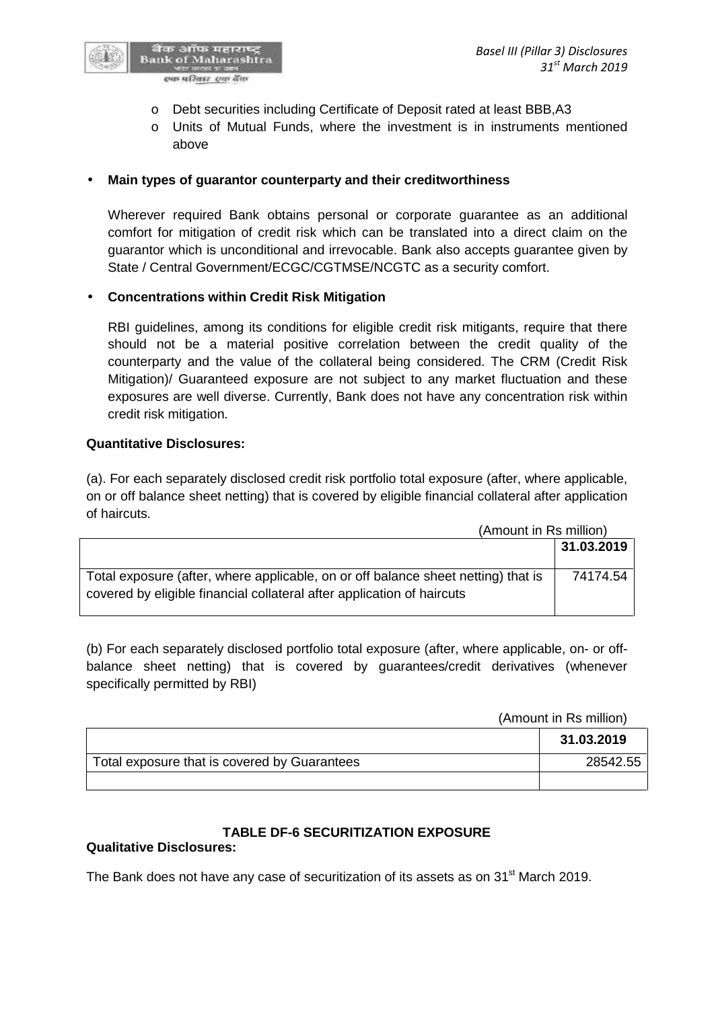

- o Debt securities including Certificate of Deposit rated at least BBB,A3
- o Units of Mutual Funds, where the investment is in instruments mentioned above

### **Main types of guarantor counterparty and their creditworthiness**

Wherever required Bank obtains personal or corporate guarantee as an additional comfort for mitigation of credit risk which can be translated into a direct claim on the guarantor which is unconditional and irrevocable. Bank also accepts guarantee given by State / Central Government/ECGC/CGTMSE/NCGTC as a security comfort.

# **Concentrations within Credit Risk Mitigation**

RBI guidelines, among its conditions for eligible credit risk mitigants, require that there should not be a material positive correlation between the credit quality of the counterparty and the value of the collateral being considered. The CRM (Credit Risk Mitigation)/ Guaranteed exposure are not subject to any market fluctuation and these exposures are well diverse. Currently, Bank does not have any concentration risk within credit risk mitigation.

#### **Quantitative Disclosures:**

(a). For each separately disclosed credit risk portfolio total exposure (after, where applicable, on or off balance sheet netting) that is covered by eligible financial collateral after application of haircuts.

(Amount in Rs million)

|                                                                                                                                                             | 31.03.2019 |
|-------------------------------------------------------------------------------------------------------------------------------------------------------------|------------|
| Total exposure (after, where applicable, on or off balance sheet netting) that is<br>covered by eligible financial collateral after application of haircuts | 74174.54   |

(b) For each separately disclosed portfolio total exposure (after, where applicable, on- or off balance sheet netting) that is covered by guarantees/credit derivatives (whenever specifically permitted by RBI)

(Amount in Rs million)

|                                              | 31.03.2019 |
|----------------------------------------------|------------|
| Total exposure that is covered by Guarantees | 28542.55   |
|                                              |            |

# **TABLE DF-6 SECURITIZATION EXPOSURE**

# **Qualitative Disclosures:**

The Bank does not have any case of securitization of its assets as on 31<sup>st</sup> March 2019.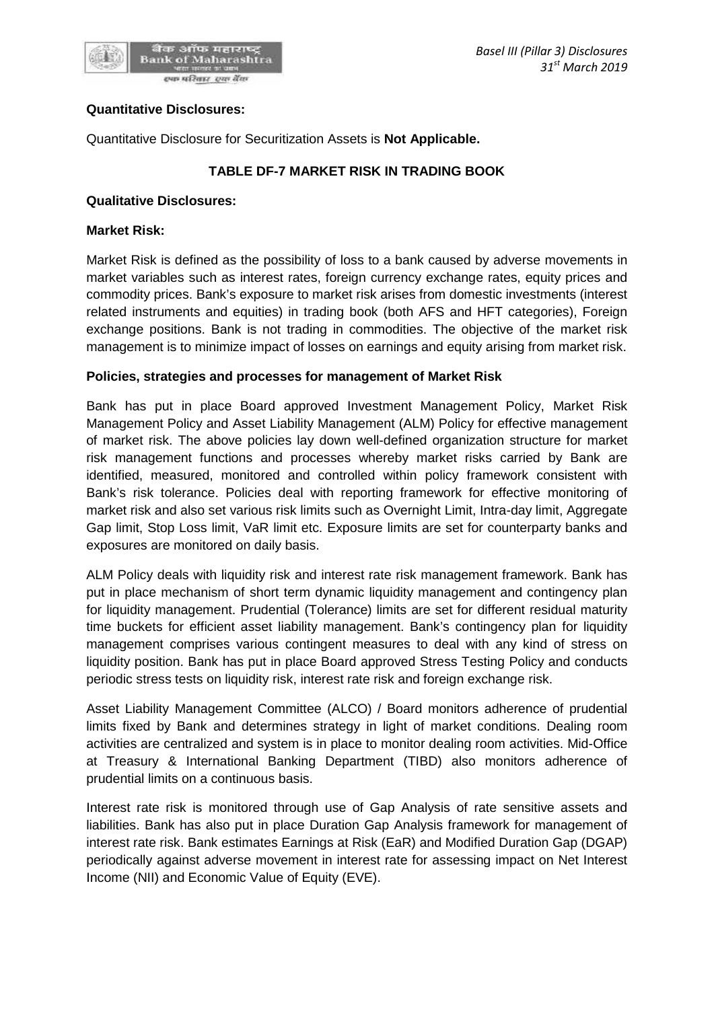

#### **Quantitative Disclosures:**

Quantitative Disclosure for Securitization Assets is **Not Applicable.**

# **TABLE DF-7 MARKET RISK IN TRADING BOOK**

#### **Qualitative Disclosures:**

#### **Market Risk:**

Market Risk is defined as the possibility of loss to a bank caused by adverse movements in market variables such as interest rates, foreign currency exchange rates, equity prices and commodity prices. Bank's exposure to market risk arises from domestic investments (interest related instruments and equities) in trading book (both AFS and HFT categories), Foreign exchange positions. Bank is not trading in commodities. The objective of the market risk management is to minimize impact of losses on earnings and equity arising from market risk.

#### **Policies, strategies and processes for management of Market Risk**

Bank has put in place Board approved Investment Management Policy, Market Risk Management Policy and Asset Liability Management (ALM) Policy for effective management of market risk. The above policies lay down well-defined organization structure for market risk management functions and processes whereby market risks carried by Bank are identified, measured, monitored and controlled within policy framework consistent with Bank's risk tolerance. Policies deal with reporting framework for effective monitoring of market risk and also set various risk limits such as Overnight Limit, Intra-day limit, Aggregate Gap limit, Stop Loss limit, VaR limit etc. Exposure limits are set for counterparty banks and exposures are monitored on daily basis.

ALM Policy deals with liquidity risk and interest rate risk management framework. Bank has put in place mechanism of short term dynamic liquidity management and contingency plan for liquidity management. Prudential (Tolerance) limits are set for different residual maturity time buckets for efficient asset liability management. Bank's contingency plan for liquidity management comprises various contingent measures to deal with any kind of stress on liquidity position. Bank has put in place Board approved Stress Testing Policy and conducts periodic stress tests on liquidity risk, interest rate risk and foreign exchange risk.

Asset Liability Management Committee (ALCO) / Board monitors adherence of prudential limits fixed by Bank and determines strategy in light of market conditions. Dealing room activities are centralized and system is in place to monitor dealing room activities. Mid-Office at Treasury & International Banking Department (TIBD) also monitors adherence of prudential limits on a continuous basis.

Interest rate risk is monitored through use of Gap Analysis of rate sensitive assets and liabilities. Bank has also put in place Duration Gap Analysis framework for management of interest rate risk. Bank estimates Earnings at Risk (EaR) and Modified Duration Gap (DGAP) periodically against adverse movement in interest rate for assessing impact on Net Interest Income (NII) and Economic Value of Equity (EVE).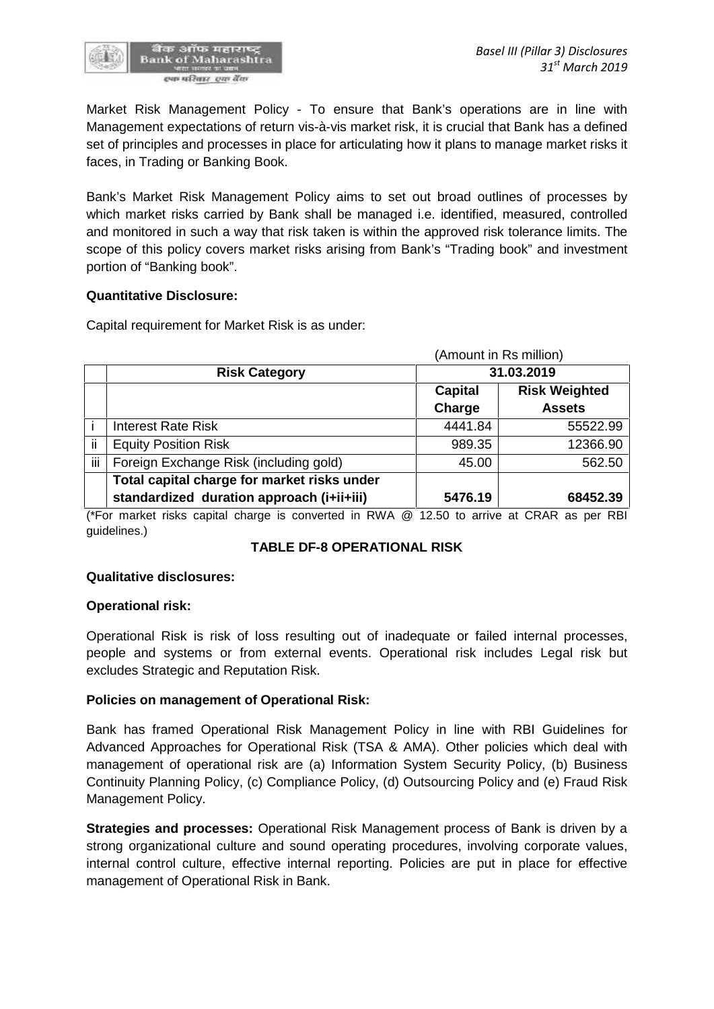

Market Risk Management Policy - To ensure that Bank's operations are in line with Management expectations of return vis-à-vis market risk, it is crucial that Bank has a defined set of principles and processes in place for articulating how it plans to manage market risks it faces, in Trading or Banking Book.

Bank's Market Risk Management Policy aims to set out broad outlines of processes by which market risks carried by Bank shall be managed i.e. identified, measured, controlled and monitored in such a way that risk taken is within the approved risk tolerance limits. The scope of this policy covers market risks arising from Bank's "Trading book" and investment portion of "Banking book".

#### **Quantitative Disclosure:**

Capital requirement for Market Risk is as under:

|     |                                             | (Amount in Rs million) |                      |  |
|-----|---------------------------------------------|------------------------|----------------------|--|
|     | <b>Risk Category</b>                        | 31.03.2019             |                      |  |
|     |                                             | Capital                | <b>Risk Weighted</b> |  |
|     |                                             | Charge                 | <b>Assets</b>        |  |
|     | <b>Interest Rate Risk</b>                   | 4441.84                | 55522.99             |  |
| ii  | <b>Equity Position Risk</b>                 | 989.35                 | 12366.90             |  |
| iii | Foreign Exchange Risk (including gold)      | 45.00                  | 562.50               |  |
|     | Total capital charge for market risks under |                        |                      |  |
|     | standardized duration approach (i+ii+iii)   | 5476.19                | 68452.39             |  |

(\*For market risks capital charge is converted in RWA @ 12.50 to arrive at CRAR as per RBI guidelines.)

#### **TABLE DF-8 OPERATIONAL RISK**

#### **Qualitative disclosures:**

#### **Operational risk:**

Operational Risk is risk of loss resulting out of inadequate or failed internal processes, people and systems or from external events. Operational risk includes Legal risk but excludes Strategic and Reputation Risk.

#### **Policies on management of Operational Risk:**

Bank has framed Operational Risk Management Policy in line with RBI Guidelines for Advanced Approaches for Operational Risk (TSA & AMA). Other policies which deal with management of operational risk are (a) Information System Security Policy, (b) Business Continuity Planning Policy, (c) Compliance Policy, (d) Outsourcing Policy and (e) Fraud Risk Management Policy.

**Strategies and processes:** Operational Risk Management process of Bank is driven by a strong organizational culture and sound operating procedures, involving corporate values, internal control culture, effective internal reporting. Policies are put in place for effective management of Operational Risk in Bank.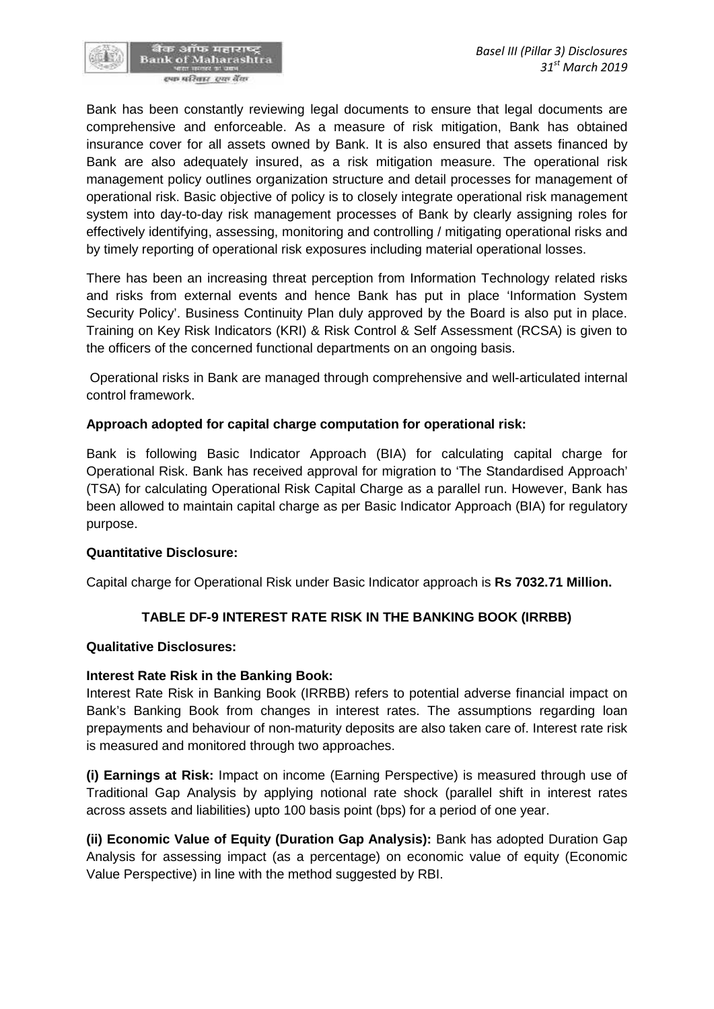Bank has been constantly reviewing legal documents to ensure that legal documents are comprehensive and enforceable. As a measure of risk mitigation, Bank has obtained insurance cover for all assets owned by Bank. It is also ensured that assets financed by Bank are also adequately insured, as a risk mitigation measure. The operational risk management policy outlines organization structure and detail processes for management of operational risk. Basic objective of policy is to closely integrate operational risk management system into day-to-day risk management processes of Bank by clearly assigning roles for effectively identifying, assessing, monitoring and controlling / mitigating operational risks and by timely reporting of operational risk exposures including material operational losses.

There has been an increasing threat perception from Information Technology related risks and risks from external events and hence Bank has put in place 'Information System Security Policy'. Business Continuity Plan duly approved by the Board is also put in place. Training on Key Risk Indicators (KRI) & Risk Control & Self Assessment (RCSA) is given to the officers of the concerned functional departments on an ongoing basis.

Operational risks in Bank are managed through comprehensive and well-articulated internal control framework.

# **Approach adopted for capital charge computation for operational risk:**

Bank is following Basic Indicator Approach (BIA) for calculating capital charge for Operational Risk. Bank has received approval for migration to 'The Standardised Approach' (TSA) for calculating Operational Risk Capital Charge as a parallel run. However, Bank has been allowed to maintain capital charge as per Basic Indicator Approach (BIA) for regulatory purpose.

#### **Quantitative Disclosure:**

Capital charge for Operational Risk under Basic Indicator approach is **Rs 7032.71 Million.**

# **TABLE DF-9 INTEREST RATE RISK IN THE BANKING BOOK (IRRBB)**

#### **Qualitative Disclosures:**

#### **Interest Rate Risk in the Banking Book:**

Interest Rate Risk in Banking Book (IRRBB) refers to potential adverse financial impact on Bank's Banking Book from changes in interest rates. The assumptions regarding loan prepayments and behaviour of non-maturity deposits are also taken care of. Interest rate risk is measured and monitored through two approaches.

**(i) Earnings at Risk:** Impact on income (Earning Perspective) is measured through use of Traditional Gap Analysis by applying notional rate shock (parallel shift in interest rates across assets and liabilities) upto 100 basis point (bps) for a period of one year.

**(ii) Economic Value of Equity (Duration Gap Analysis):** Bank has adopted Duration Gap Analysis for assessing impact (as a percentage) on economic value of equity (Economic Value Perspective) in line with the method suggested by RBI.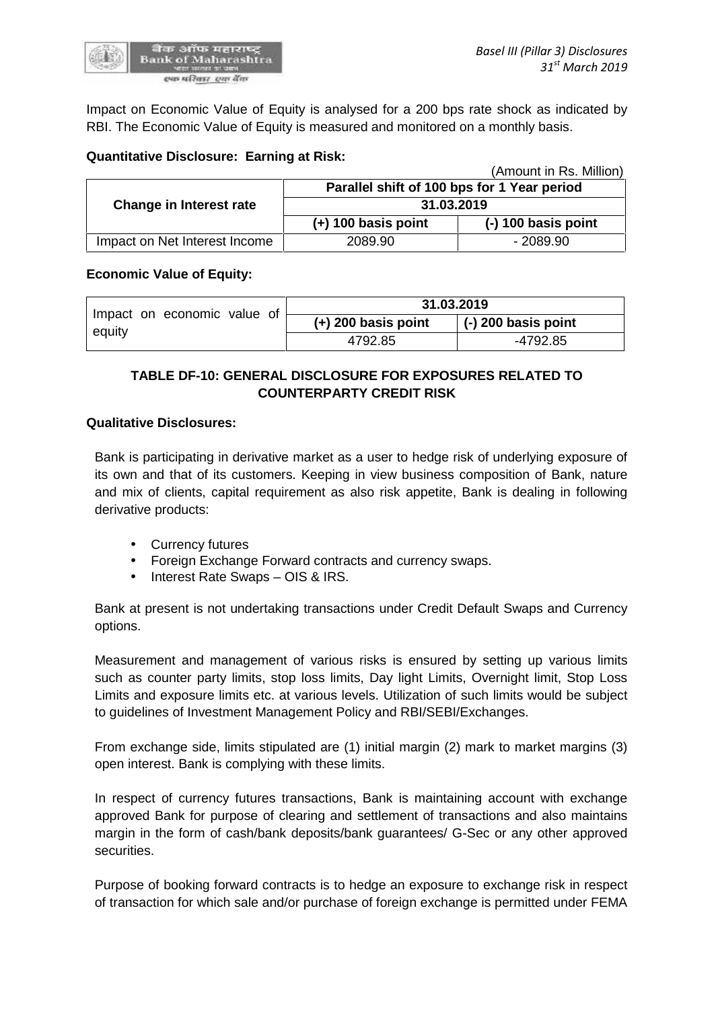

 $\lambda$   $\lambda$  in Rs. Million)

Impact on Economic Value of Equity is analysed for a 200 bps rate shock as indicated by RBI. The Economic Value of Equity is measured and monitored on a monthly basis.

### **Quantitative Disclosure: Earning at Risk:**

|                               |                                             | (Amount in RS. Million) |
|-------------------------------|---------------------------------------------|-------------------------|
|                               | Parallel shift of 100 bps for 1 Year period |                         |
| Change in Interest rate       | 31.03.2019                                  |                         |
|                               | $(+)$ 100 basis point                       | $(-)$ 100 basis point   |
| Impact on Net Interest Income | 2089.90                                     | - 2089.90               |

#### **Economic Value of Equity:**

| Impact on economic value of | 31.03.2019            |                             |
|-----------------------------|-----------------------|-----------------------------|
| equity                      | $(+)$ 200 basis point | $\vert$ (-) 200 basis point |
|                             | 4792.85               | -4792.85                    |

# **TABLE DF-10: GENERAL DISCLOSURE FOR EXPOSURES RELATED TO COUNTERPARTY CREDIT RISK**

#### **Qualitative Disclosures:**

Bank is participating in derivative market as a user to hedge risk of underlying exposure of its own and that of its customers. Keeping in view business composition of Bank, nature and mix of clients, capital requirement as also risk appetite, Bank is dealing in following derivative products:

- Currency futures
- Foreign Exchange Forward contracts and currency swaps.
- Interest Rate Swaps OIS & IRS.

Bank at present is not undertaking transactions under Credit Default Swaps and Currency options.

Measurement and management of various risks is ensured by setting up various limits such as counter party limits, stop loss limits, Day light Limits, Overnight limit, Stop Loss Limits and exposure limits etc. at various levels. Utilization of such limits would be subject to guidelines of Investment Management Policy and RBI/SEBI/Exchanges.

From exchange side, limits stipulated are (1) initial margin (2) mark to market margins (3) open interest. Bank is complying with these limits.

In respect of currency futures transactions, Bank is maintaining account with exchange approved Bank for purpose of clearing and settlement of transactions and also maintains margin in the form of cash/bank deposits/bank guarantees/ G-Sec or any other approved securities.

Purpose of booking forward contracts is to hedge an exposure to exchange risk in respect of transaction for which sale and/or purchase of foreign exchange is permitted under FEMA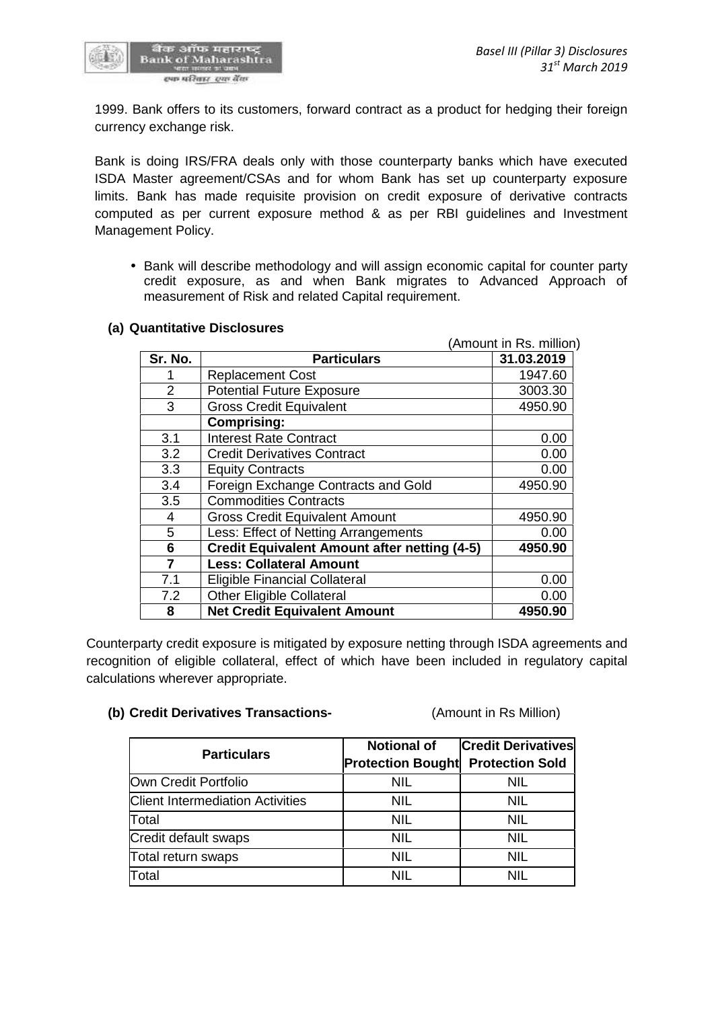

1999. Bank offers to its customers, forward contract as a product for hedging their foreign currency exchange risk.

Bank is doing IRS/FRA deals only with those counterparty banks which have executed ISDA Master agreement/CSAs and for whom Bank has set up counterparty exposure limits. Bank has made requisite provision on credit exposure of derivative contracts computed as per current exposure method & as per RBI guidelines and Investment Management Policy.

 Bank will describe methodology and will assign economic capital for counter party credit exposure, as and when Bank migrates to Advanced Approach of measurement of Risk and related Capital requirement.

#### **(a) Quantitative Disclosures**

|                | uantitative Disclosures                             |                         |
|----------------|-----------------------------------------------------|-------------------------|
|                |                                                     | (Amount in Rs. million) |
| Sr. No.        | <b>Particulars</b>                                  | 31.03.2019              |
|                | <b>Replacement Cost</b>                             | 1947.60                 |
| $\overline{2}$ | <b>Potential Future Exposure</b>                    | 3003.30                 |
| 3              | <b>Gross Credit Equivalent</b>                      | 4950.90                 |
|                | <b>Comprising:</b>                                  |                         |
| 3.1            | Interest Rate Contract                              | 0.00                    |
| 3.2            | <b>Credit Derivatives Contract</b>                  | 0.00                    |
| 3.3            | <b>Equity Contracts</b>                             | 0.00                    |
| 3.4            | Foreign Exchange Contracts and Gold                 | 4950.90                 |
| 3.5            | <b>Commodities Contracts</b>                        |                         |
| 4              | <b>Gross Credit Equivalent Amount</b>               | 4950.90                 |
| 5              | Less: Effect of Netting Arrangements                | 0.00                    |
| 6              | <b>Credit Equivalent Amount after netting (4-5)</b> | 4950.90                 |
| 7              | <b>Less: Collateral Amount</b>                      |                         |
| 7.1            | <b>Eligible Financial Collateral</b>                | 0.00                    |
| 7.2            | <b>Other Eligible Collateral</b>                    | 0.00                    |
| 8              | <b>Net Credit Equivalent Amount</b>                 | 4950.90                 |

Counterparty credit exposure is mitigated by exposure netting through ISDA agreements and recognition of eligible collateral, effect of which have been included in regulatory capital calculations wherever appropriate.

#### **(b) Credit Derivatives Transactions-** (Amount in Rs Million)

| <b>Particulars</b>                      | <b>Notional of</b><br><b>Protection Bought Protection Sold</b> | <b>Credit Derivatives</b> |
|-----------------------------------------|----------------------------------------------------------------|---------------------------|
| Own Credit Portfolio                    | <b>NIL</b>                                                     | <b>NIL</b>                |
| <b>Client Intermediation Activities</b> | <b>NIL</b>                                                     | <b>NIL</b>                |
| Total                                   | <b>NIL</b>                                                     | <b>NIL</b>                |
| Credit default swaps                    | NIL                                                            | NIL                       |
| Total return swaps                      | NIL                                                            | <b>NIL</b>                |
| Total                                   | NIL                                                            | <b>NIL</b>                |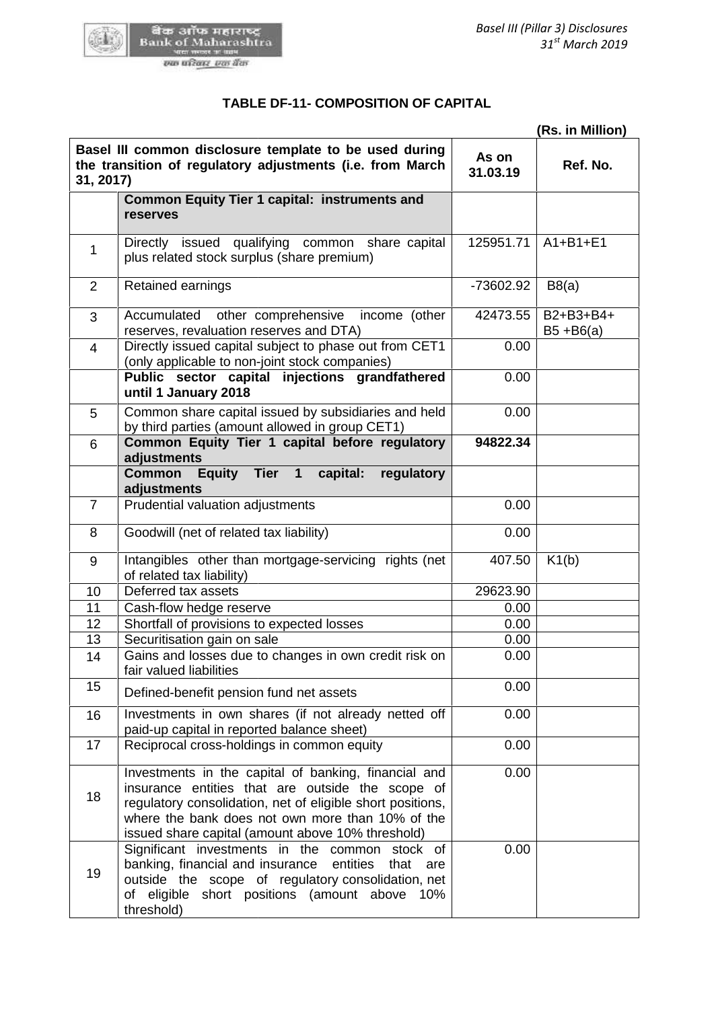

खैंक आँफ महाराष्ट्र<br>Bank of Maharashtra<br>*एक परिवार एक बैंक* 

|                | (Rs. in Million)                                                                                                                                                                                                                                                                |                   |                           |  |
|----------------|---------------------------------------------------------------------------------------------------------------------------------------------------------------------------------------------------------------------------------------------------------------------------------|-------------------|---------------------------|--|
| 31, 2017)      | Basel III common disclosure template to be used during<br>the transition of regulatory adjustments (i.e. from March                                                                                                                                                             | As on<br>31.03.19 | Ref. No.                  |  |
|                | <b>Common Equity Tier 1 capital: instruments and</b><br>reserves                                                                                                                                                                                                                |                   |                           |  |
| 1              | Directly issued qualifying common share capital<br>plus related stock surplus (share premium)                                                                                                                                                                                   | 125951.71         | $A1+B1+E1$                |  |
| 2              | Retained earnings                                                                                                                                                                                                                                                               | -73602.92         | B8(a)                     |  |
| 3              | Accumulated<br>other comprehensive<br>income (other<br>reserves, revaluation reserves and DTA)                                                                                                                                                                                  | 42473.55          | B2+B3+B4+<br>$B5 + B6(a)$ |  |
| $\overline{4}$ | Directly issued capital subject to phase out from CET1<br>(only applicable to non-joint stock companies)                                                                                                                                                                        | 0.00              |                           |  |
|                | Public sector capital injections grandfathered<br>until 1 January 2018                                                                                                                                                                                                          | 0.00              |                           |  |
| 5              | Common share capital issued by subsidiaries and held<br>by third parties (amount allowed in group CET1)                                                                                                                                                                         | 0.00              |                           |  |
| 6              | Common Equity Tier 1 capital before regulatory<br>adjustments                                                                                                                                                                                                                   | 94822.34          |                           |  |
|                | <b>Common</b><br>Equity Tier 1<br>capital:<br>regulatory<br>adjustments                                                                                                                                                                                                         |                   |                           |  |
| $\overline{7}$ | Prudential valuation adjustments                                                                                                                                                                                                                                                | 0.00              |                           |  |
| 8              | Goodwill (net of related tax liability)                                                                                                                                                                                                                                         | 0.00              |                           |  |
| 9              | Intangibles other than mortgage-servicing rights (net<br>of related tax liability)                                                                                                                                                                                              | 407.50            | K1(b)                     |  |
| 10             | Deferred tax assets                                                                                                                                                                                                                                                             | 29623.90          |                           |  |
| 11             | Cash-flow hedge reserve                                                                                                                                                                                                                                                         | 0.00              |                           |  |
| 12             | Shortfall of provisions to expected losses                                                                                                                                                                                                                                      | 0.00              |                           |  |
| 13             | Securitisation gain on sale                                                                                                                                                                                                                                                     | 0.00              |                           |  |
| 14             | Gains and losses due to changes in own credit risk on<br>fair valued liabilities                                                                                                                                                                                                | 0.00              |                           |  |
| 15             | Defined-benefit pension fund net assets                                                                                                                                                                                                                                         | 0.00              |                           |  |
| 16             | Investments in own shares (if not already netted off<br>paid-up capital in reported balance sheet)                                                                                                                                                                              | 0.00              |                           |  |
| 17             | Reciprocal cross-holdings in common equity                                                                                                                                                                                                                                      | 0.00              |                           |  |
| 18             | Investments in the capital of banking, financial and<br>insurance entities that are outside the scope of<br>regulatory consolidation, net of eligible short positions,<br>where the bank does not own more than 10% of the<br>issued share capital (amount above 10% threshold) | 0.00              |                           |  |
| 19             | Significant investments in the common stock of<br>banking, financial and insurance entities<br>that<br>are<br>outside the scope of regulatory consolidation, net<br>of eligible short positions (amount above 10%<br>threshold)                                                 | 0.00              |                           |  |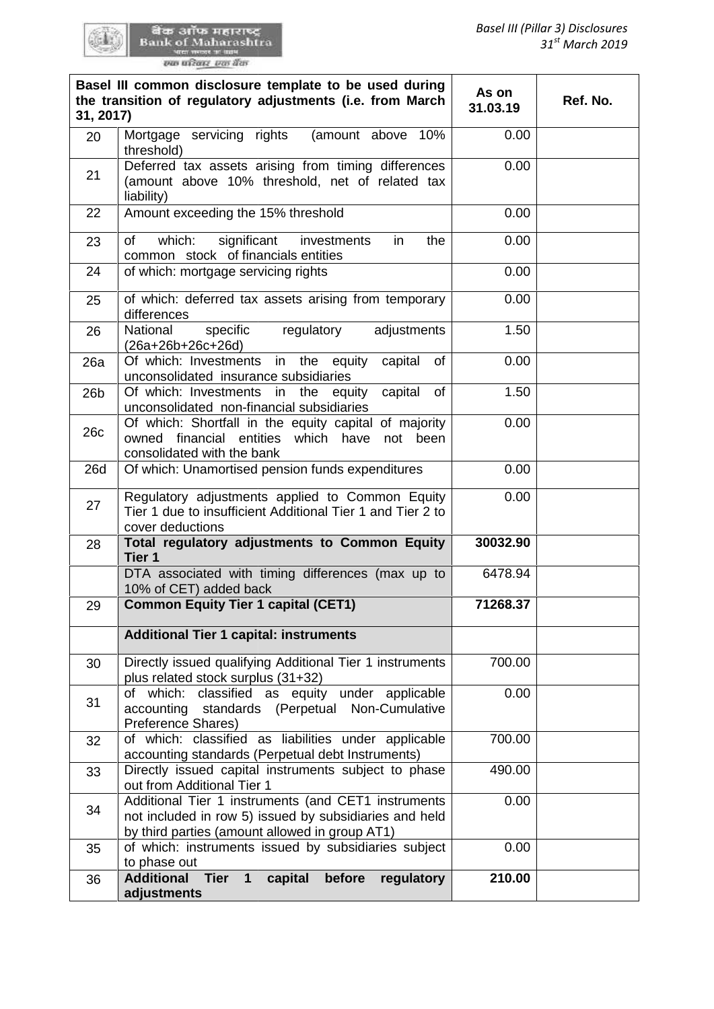र्वेक आँफ महाराष्ट्र<br>Bank of Maharashtra<br>wa magas wasan

| 31, 2017)       | Basel III common disclosure template to be used during<br>the transition of regulatory adjustments (i.e. from March                                             | As on<br>31.03.19 | Ref. No. |
|-----------------|-----------------------------------------------------------------------------------------------------------------------------------------------------------------|-------------------|----------|
| 20              | Mortgage servicing rights<br>(amount above 10%<br>threshold)                                                                                                    | 0.00              |          |
| 21              | Deferred tax assets arising from timing differences<br>(amount above 10% threshold, net of related tax<br>liability)                                            | 0.00              |          |
| 22              | Amount exceeding the 15% threshold                                                                                                                              | 0.00              |          |
| 23              | of<br>which:<br>significant<br>the<br>investments<br>in<br>common stock of financials entities                                                                  | 0.00              |          |
| 24              | of which: mortgage servicing rights                                                                                                                             | 0.00              |          |
| 25              | of which: deferred tax assets arising from temporary<br>differences                                                                                             | 0.00              |          |
| 26              | National<br>specific<br>regulatory<br>adjustments<br>(26a+26b+26c+26d)                                                                                          | 1.50              |          |
| 26a             | Of which: Investments in the equity<br>capital<br><b>of</b><br>unconsolidated insurance subsidiaries                                                            | 0.00              |          |
| 26 <sub>b</sub> | Of which: Investments in the equity<br>capital<br><b>of</b><br>unconsolidated non-financial subsidiaries                                                        | 1.50              |          |
| 26c             | Of which: Shortfall in the equity capital of majority<br>financial<br>entities which<br>owned<br>have<br>not<br>been<br>consolidated with the bank              | 0.00              |          |
| <b>26d</b>      | Of which: Unamortised pension funds expenditures                                                                                                                | 0.00              |          |
| 27              | Regulatory adjustments applied to Common Equity<br>Tier 1 due to insufficient Additional Tier 1 and Tier 2 to<br>cover deductions                               | 0.00              |          |
| 28              | Total regulatory adjustments to Common Equity<br>Tier 1                                                                                                         | 30032.90          |          |
|                 | DTA associated with timing differences (max up to<br>10% of CET) added back                                                                                     | 6478.94           |          |
| 29              | <b>Common Equity Tier 1 capital (CET1)</b>                                                                                                                      | 71268.37          |          |
|                 | <b>Additional Tier 1 capital: instruments</b>                                                                                                                   |                   |          |
| 30              | Directly issued qualifying Additional Tier 1 instruments<br>plus related stock surplus (31+32)                                                                  | 700.00            |          |
| 31              | of which: classified as equity under applicable<br>accounting standards (Perpetual Non-Cumulative<br>Preference Shares)                                         | 0.00              |          |
| 32              | of which: classified as liabilities under applicable<br>accounting standards (Perpetual debt Instruments)                                                       | 700.00            |          |
| 33              | Directly issued capital instruments subject to phase<br>out from Additional Tier 1                                                                              | 490.00            |          |
| 34              | Additional Tier 1 instruments (and CET1 instruments<br>not included in row 5) issued by subsidiaries and held<br>by third parties (amount allowed in group AT1) | 0.00              |          |
| 35              | of which: instruments issued by subsidiaries subject<br>to phase out                                                                                            | 0.00              |          |
| 36              | <b>Tier</b><br><b>Additional</b><br>before<br>$\mathbf{1}$<br>capital<br>regulatory<br>adjustments                                                              | 210.00            |          |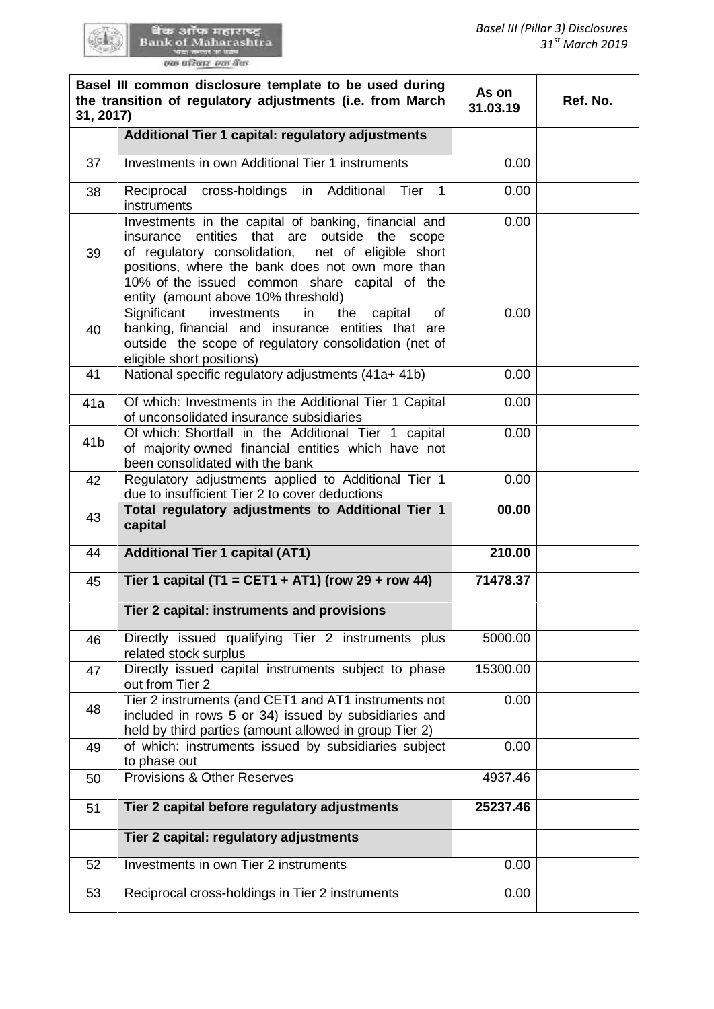|                            | <b>BOD OITS HELLY</b> |  |
|----------------------------|-----------------------|--|
|                            | sank of Maharashtra   |  |
| <b>NEW WHOSE ST SERIES</b> |                       |  |
|                            | रुक परिवार, एक बैंक   |  |

œ.

| 31, 2017)       | Basel III common disclosure template to be used during<br>the transition of regulatory adjustments (i.e. from March                                                                                                                                                                                     | As on<br>31.03.19 | Ref. No. |
|-----------------|---------------------------------------------------------------------------------------------------------------------------------------------------------------------------------------------------------------------------------------------------------------------------------------------------------|-------------------|----------|
|                 | Additional Tier 1 capital: regulatory adjustments                                                                                                                                                                                                                                                       |                   |          |
| 37              | Investments in own Additional Tier 1 instruments                                                                                                                                                                                                                                                        | 0.00              |          |
| 38              | Reciprocal cross-holdings<br>Additional<br>Tier<br>$\mathbf{1}$<br>in<br>instruments                                                                                                                                                                                                                    | 0.00              |          |
| 39              | Investments in the capital of banking, financial and<br>insurance entities that are outside the scope<br>of regulatory consolidation, net of eligible short<br>positions, where the bank does not own more than<br>10% of the issued common share capital of the<br>entity (amount above 10% threshold) | 0.00              |          |
| 40              | Significant<br><b>of</b><br>investments<br>the<br>capital<br>in<br>banking, financial and insurance entities that are<br>outside the scope of regulatory consolidation (net of<br>eligible short positions)                                                                                             | 0.00              |          |
| 41              | National specific regulatory adjustments (41a+ 41b)                                                                                                                                                                                                                                                     | 0.00              |          |
| 41a             | Of which: Investments in the Additional Tier 1 Capital<br>of unconsolidated insurance subsidiaries                                                                                                                                                                                                      | 0.00              |          |
| 41 <sub>b</sub> | Of which: Shortfall in the Additional Tier 1 capital<br>of majority owned financial entities which have not<br>been consolidated with the bank                                                                                                                                                          | 0.00              |          |
| 42              | Regulatory adjustments applied to Additional Tier 1<br>due to insufficient Tier 2 to cover deductions                                                                                                                                                                                                   | 0.00              |          |
| 43              | Total regulatory adjustments to Additional Tier 1<br>capital                                                                                                                                                                                                                                            | 00.00             |          |
| 44              | <b>Additional Tier 1 capital (AT1)</b>                                                                                                                                                                                                                                                                  | 210.00            |          |
| 45              | Tier 1 capital (T1 = CET1 + AT1) (row 29 + row 44)                                                                                                                                                                                                                                                      | 71478.37          |          |
|                 | Tier 2 capital: instruments and provisions                                                                                                                                                                                                                                                              |                   |          |
| 46              | Directly issued qualifying Tier 2 instruments plus<br>related stock surplus                                                                                                                                                                                                                             | 5000.00           |          |
| 47              | Directly issued capital instruments subject to phase<br>out from Tier 2                                                                                                                                                                                                                                 | 15300.00          |          |
| 48              | Tier 2 instruments (and CET1 and AT1 instruments not<br>included in rows 5 or 34) issued by subsidiaries and<br>held by third parties (amount allowed in group Tier 2)                                                                                                                                  | 0.00              |          |
| 49              | of which: instruments issued by subsidiaries subject<br>to phase out                                                                                                                                                                                                                                    | 0.00              |          |
| 50              | <b>Provisions &amp; Other Reserves</b>                                                                                                                                                                                                                                                                  | 4937.46           |          |
| 51              | Tier 2 capital before regulatory adjustments                                                                                                                                                                                                                                                            | 25237.46          |          |
|                 | Tier 2 capital: regulatory adjustments                                                                                                                                                                                                                                                                  |                   |          |
| 52              | Investments in own Tier 2 instruments                                                                                                                                                                                                                                                                   | 0.00              |          |
| 53              | Reciprocal cross-holdings in Tier 2 instruments                                                                                                                                                                                                                                                         | 0.00              |          |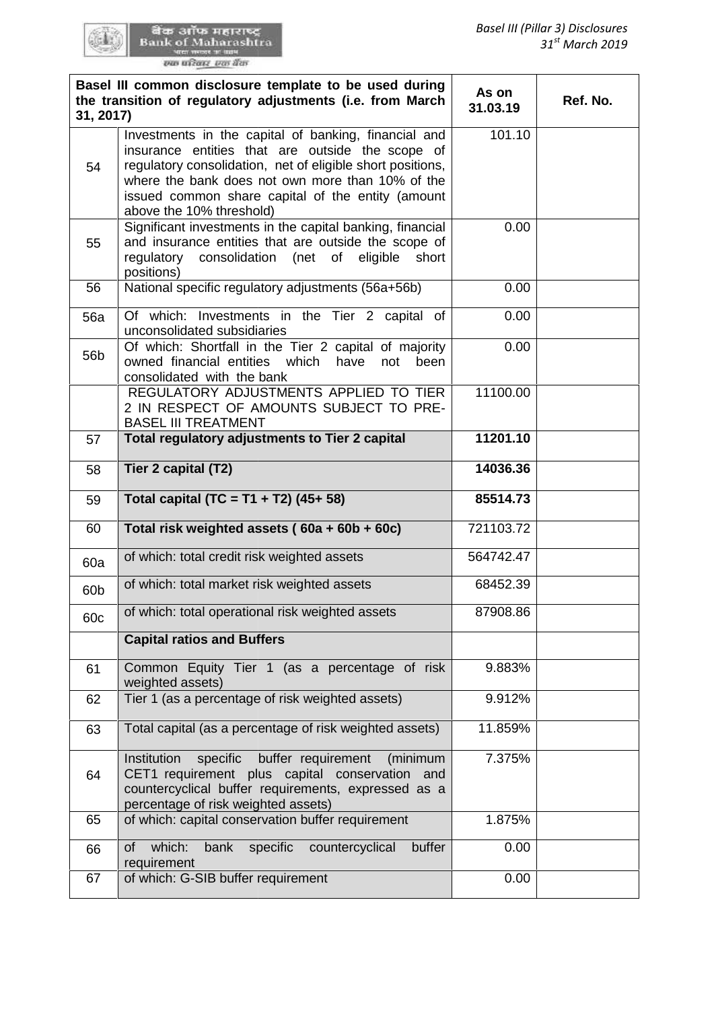र्वेक आँफ महाराष्ट्र<br>Bank of Maharashtra<br>wa magas wasan

| 31, 2017)       | Basel III common disclosure template to be used during<br>the transition of regulatory adjustments (i.e. from March                                                                                                                                                                                         | As on<br>31.03.19 | Ref. No. |
|-----------------|-------------------------------------------------------------------------------------------------------------------------------------------------------------------------------------------------------------------------------------------------------------------------------------------------------------|-------------------|----------|
| 54              | Investments in the capital of banking, financial and<br>insurance entities that are outside the scope of<br>regulatory consolidation, net of eligible short positions,<br>where the bank does not own more than 10% of the<br>issued common share capital of the entity (amount<br>above the 10% threshold) | 101.10            |          |
| 55              | Significant investments in the capital banking, financial<br>and insurance entities that are outside the scope of<br>consolidation (net<br>of<br>eligible<br>regulatory<br>short<br>positions)                                                                                                              | 0.00              |          |
| 56              | National specific regulatory adjustments (56a+56b)                                                                                                                                                                                                                                                          | 0.00              |          |
| <b>56a</b>      | Of which: Investments in the Tier 2 capital of<br>unconsolidated subsidiaries                                                                                                                                                                                                                               | 0.00              |          |
| 56 <sub>b</sub> | Of which: Shortfall in the Tier 2 capital of majority<br>owned financial entities which<br>have<br>not<br>been<br>consolidated with the bank                                                                                                                                                                | 0.00              |          |
|                 | REGULATORY ADJUSTMENTS APPLIED TO TIER<br>2 IN RESPECT OF AMOUNTS SUBJECT TO PRE-<br><b>BASEL III TREATMENT</b>                                                                                                                                                                                             | 11100.00          |          |
| 57              | Total regulatory adjustments to Tier 2 capital                                                                                                                                                                                                                                                              | 11201.10          |          |
| 58              | Tier 2 capital (T2)                                                                                                                                                                                                                                                                                         | 14036.36          |          |
| 59              | Total capital (TC = $T1 + T2$ ) (45+ 58)                                                                                                                                                                                                                                                                    | 85514.73          |          |
| 60              | Total risk weighted assets (60a + 60b + 60c)                                                                                                                                                                                                                                                                | 721103.72         |          |
|                 |                                                                                                                                                                                                                                                                                                             |                   |          |
| 60a             | of which: total credit risk weighted assets                                                                                                                                                                                                                                                                 | 564742.47         |          |
| 60b             | of which: total market risk weighted assets                                                                                                                                                                                                                                                                 | 68452.39          |          |
| 60c             | of which: total operational risk weighted assets                                                                                                                                                                                                                                                            | 87908.86          |          |
|                 | <b>Capital ratios and Buffers</b>                                                                                                                                                                                                                                                                           |                   |          |
| 61              | Common Equity Tier 1 (as a percentage of risk<br>weighted assets)                                                                                                                                                                                                                                           | 9.883%            |          |
| 62              | Tier 1 (as a percentage of risk weighted assets)                                                                                                                                                                                                                                                            | 9.912%            |          |
| 63              | Total capital (as a percentage of risk weighted assets)                                                                                                                                                                                                                                                     | 11.859%           |          |
| 64              | buffer requirement<br>Institution<br>specific<br>(minimum<br>CET1 requirement plus capital conservation<br>and<br>countercyclical buffer requirements, expressed as a<br>percentage of risk weighted assets)                                                                                                | 7.375%            |          |
| 65              | of which: capital conservation buffer requirement                                                                                                                                                                                                                                                           | 1.875%            |          |
| 66              | buffer<br>which:<br>bank<br>specific<br>countercyclical<br>of<br>requirement<br>of which: G-SIB buffer requirement                                                                                                                                                                                          | 0.00              |          |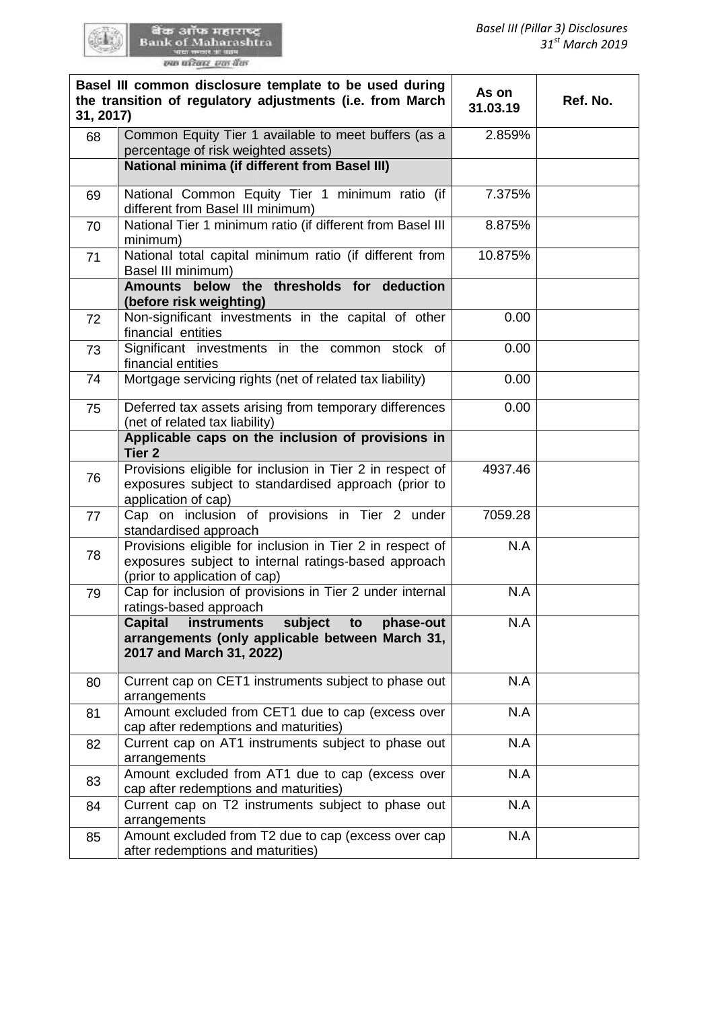र्वेक ऑफ महाराष्ट्र<br>Bank of Maharashtra<br>का प्रदेश कार्यक

GEN:

| 31, 2017) | Basel III common disclosure template to be used during<br>the transition of regulatory adjustments (i.e. from March                                | As on<br>31.03.19 | Ref. No. |
|-----------|----------------------------------------------------------------------------------------------------------------------------------------------------|-------------------|----------|
| 68        | Common Equity Tier 1 available to meet buffers (as a<br>percentage of risk weighted assets)                                                        | 2.859%            |          |
|           | <b>National minima (if different from Basel III)</b>                                                                                               |                   |          |
| 69        | National Common Equity Tier 1 minimum ratio (if<br>different from Basel III minimum)                                                               | 7.375%            |          |
| 70        | National Tier 1 minimum ratio (if different from Basel III<br>minimum)                                                                             | 8.875%            |          |
| 71        | National total capital minimum ratio (if different from<br>Basel III minimum)                                                                      | 10.875%           |          |
|           | Amounts below the thresholds for deduction<br>(before risk weighting)                                                                              |                   |          |
| 72        | Non-significant investments in the capital of other<br>financial entities                                                                          | 0.00              |          |
| 73        | Significant investments in the common stock of<br>financial entities                                                                               | 0.00              |          |
| 74        | Mortgage servicing rights (net of related tax liability)                                                                                           | 0.00              |          |
| 75        | Deferred tax assets arising from temporary differences<br>(net of related tax liability)                                                           | 0.00              |          |
|           | Applicable caps on the inclusion of provisions in<br><b>Tier 2</b>                                                                                 |                   |          |
| 76        | Provisions eligible for inclusion in Tier 2 in respect of<br>exposures subject to standardised approach (prior to<br>application of cap)           | 4937.46           |          |
| 77        | Cap on inclusion of provisions in Tier 2 under<br>standardised approach                                                                            | 7059.28           |          |
| 78        | Provisions eligible for inclusion in Tier 2 in respect of<br>exposures subject to internal ratings-based approach<br>(prior to application of cap) | N.A               |          |
| 79        | Cap for inclusion of provisions in Tier 2 under internal<br>ratings-based approach                                                                 | N.A               |          |
|           | subject<br><b>Capital</b><br>phase-out<br>instruments<br>to<br>arrangements (only applicable between March 31,<br>2017 and March 31, 2022)         | N.A               |          |
| 80        | Current cap on CET1 instruments subject to phase out<br>arrangements                                                                               | N.A               |          |
| 81        | Amount excluded from CET1 due to cap (excess over<br>cap after redemptions and maturities)                                                         | N.A               |          |
| 82        | Current cap on AT1 instruments subject to phase out<br>arrangements                                                                                | N.A               |          |
| 83        | Amount excluded from AT1 due to cap (excess over<br>cap after redemptions and maturities)                                                          | N.A               |          |
| 84        | Current cap on T2 instruments subject to phase out<br>arrangements                                                                                 | N.A               |          |
| 85        | Amount excluded from T2 due to cap (excess over cap<br>after redemptions and maturities)                                                           | N.A               |          |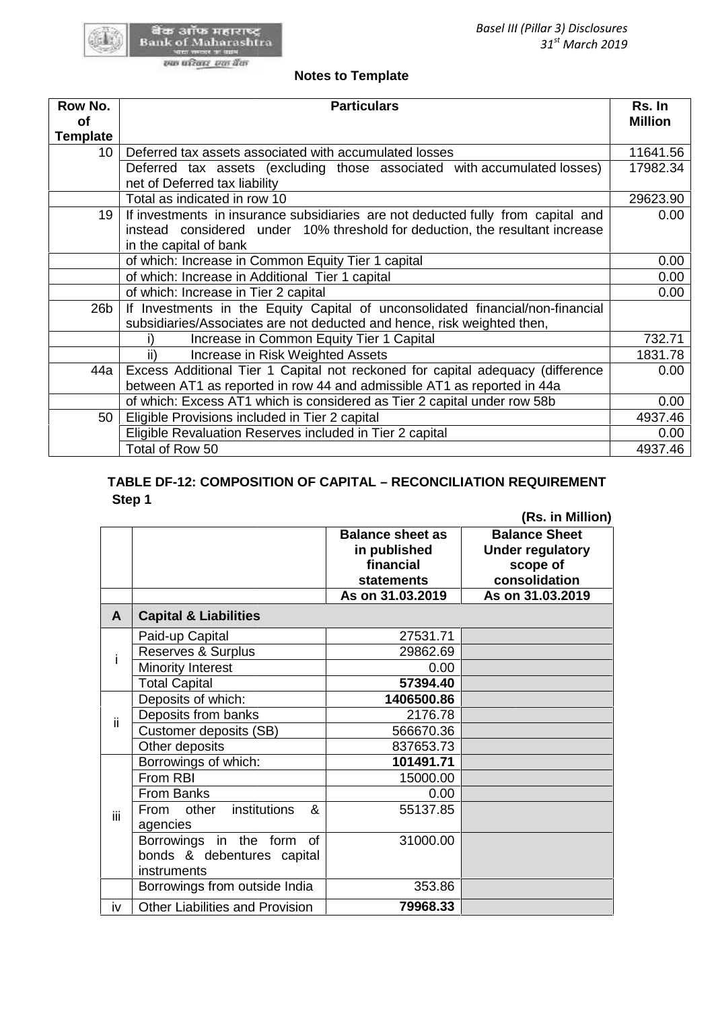

#### **Notes to Template Notes**

| Row No.<br>οf   | <b>Particulars</b>                                                                                                                                                                         | Rs. In<br><b>Million</b> |
|-----------------|--------------------------------------------------------------------------------------------------------------------------------------------------------------------------------------------|--------------------------|
| <b>Template</b> |                                                                                                                                                                                            |                          |
| 10 <sup>°</sup> | Deferred tax assets associated with accumulated losses                                                                                                                                     | 11641.56                 |
|                 | Deferred tax assets (excluding those associated with accumulated losses)<br>net of Deferred tax liability                                                                                  | 17982.34                 |
|                 | Total as indicated in row 10                                                                                                                                                               | 29623.90                 |
| 19              | If investments in insurance subsidiaries are not deducted fully from capital and<br>instead considered under 10% threshold for deduction, the resultant increase<br>in the capital of bank | 0.00                     |
|                 | of which: Increase in Common Equity Tier 1 capital                                                                                                                                         | 0.00                     |
|                 | of which: Increase in Additional Tier 1 capital                                                                                                                                            | 0.00                     |
|                 | of which: Increase in Tier 2 capital                                                                                                                                                       | 0.00                     |
| 26 <sub>b</sub> | If Investments in the Equity Capital of unconsolidated financial/non-financial<br>subsidiaries/Associates are not deducted and hence, risk weighted then,                                  |                          |
|                 | Increase in Common Equity Tier 1 Capital                                                                                                                                                   | 732.71                   |
|                 | ii)<br>Increase in Risk Weighted Assets                                                                                                                                                    | 1831.78                  |
| 44a             | Excess Additional Tier 1 Capital not reckoned for capital adequacy (difference<br>between AT1 as reported in row 44 and admissible AT1 as reported in 44a                                  | 0.00                     |
|                 | of which: Excess AT1 which is considered as Tier 2 capital under row 58b                                                                                                                   | 0.00                     |
| 50              | Eligible Provisions included in Tier 2 capital                                                                                                                                             | 4937.46                  |
|                 | Eligible Revaluation Reserves included in Tier 2 capital                                                                                                                                   | 0.00                     |
|                 | Total of Row 50                                                                                                                                                                            | 4937.46                  |

# **TABLE DF-12: COMPOSITION OF CAPITAL – RECONCILIATION REQUIREMENT DF-12: Step 1 Step 1**

|     | of which: Increase in Additional Tier 1 capital                                |                                                |                                                      |                |
|-----|--------------------------------------------------------------------------------|------------------------------------------------|------------------------------------------------------|----------------|
|     | of which: Increase in Tier 2 capital                                           |                                                |                                                      |                |
| Эþ  | If Investments in the Equity Capital of unconsolidated financial/non-financial |                                                |                                                      |                |
|     | subsidiaries/Associates are not deducted and hence, risk weighted then,        |                                                |                                                      |                |
|     | Increase in Common Equity Tier 1 Capital<br>i)                                 |                                                |                                                      |                |
|     | Increase in Risk Weighted Assets<br>ii)                                        |                                                |                                                      |                |
| 4a  | Excess Additional Tier 1 Capital not reckoned for capital adequacy (difference |                                                |                                                      |                |
|     | between AT1 as reported in row 44 and admissible AT1 as reported in 44a        |                                                |                                                      |                |
|     | of which: Excess AT1 which is considered as Tier 2 capital under row 58b       |                                                |                                                      |                |
| 50  | Eligible Provisions included in Tier 2 capital                                 |                                                |                                                      | 4              |
|     | Eligible Revaluation Reserves included in Tier 2 capital                       |                                                |                                                      |                |
|     | Total of Row 50                                                                |                                                |                                                      | $\overline{4}$ |
|     | TABLE DF-12: COMPOSITION OF CAPITAL - RECONCILIATION REQUIREMENT<br>Step 1     | <b>Balance sheet as</b>                        | (Rs. in Million)<br><b>Balance Sheet</b>             |                |
|     |                                                                                | in published<br>financial<br><b>statements</b> | <b>Under regulatory</b><br>scope of<br>consolidation |                |
|     |                                                                                | As on 31.03.2019                               | As on 31.03.2019                                     |                |
| A   | <b>Capital &amp; Liabilities</b>                                               |                                                |                                                      |                |
|     | Paid-up Capital                                                                | 27531.71                                       |                                                      |                |
| i   | Reserves & Surplus                                                             | 29862.69                                       |                                                      |                |
|     | <b>Minority Interest</b>                                                       | 0.00                                           |                                                      |                |
|     | <b>Total Capital</b>                                                           | 57394.40                                       |                                                      |                |
|     | Deposits of which:                                                             | 1406500.86                                     |                                                      |                |
| ii. | Deposits from banks                                                            | 2176.78                                        |                                                      |                |
|     | Customer deposits (SB)                                                         | 566670.36                                      |                                                      |                |
|     | Other deposits                                                                 | 837653.73                                      |                                                      |                |
|     | Borrowings of which:                                                           | 101491.71                                      |                                                      |                |
|     | From RBI                                                                       | 15000.00                                       |                                                      |                |
|     | From Banks                                                                     | 0.00                                           |                                                      |                |
| iii | From other institutions &                                                      | 55137.85                                       |                                                      |                |
|     | agencies                                                                       |                                                |                                                      |                |
|     | Borrowings in the form of<br>bonds & debentures capital<br>instruments         | 31000.00                                       |                                                      |                |
|     | Borrowings from outside India                                                  | 353.86                                         |                                                      |                |
| iv  | Other Liabilities and Provision                                                | 79968.33                                       |                                                      |                |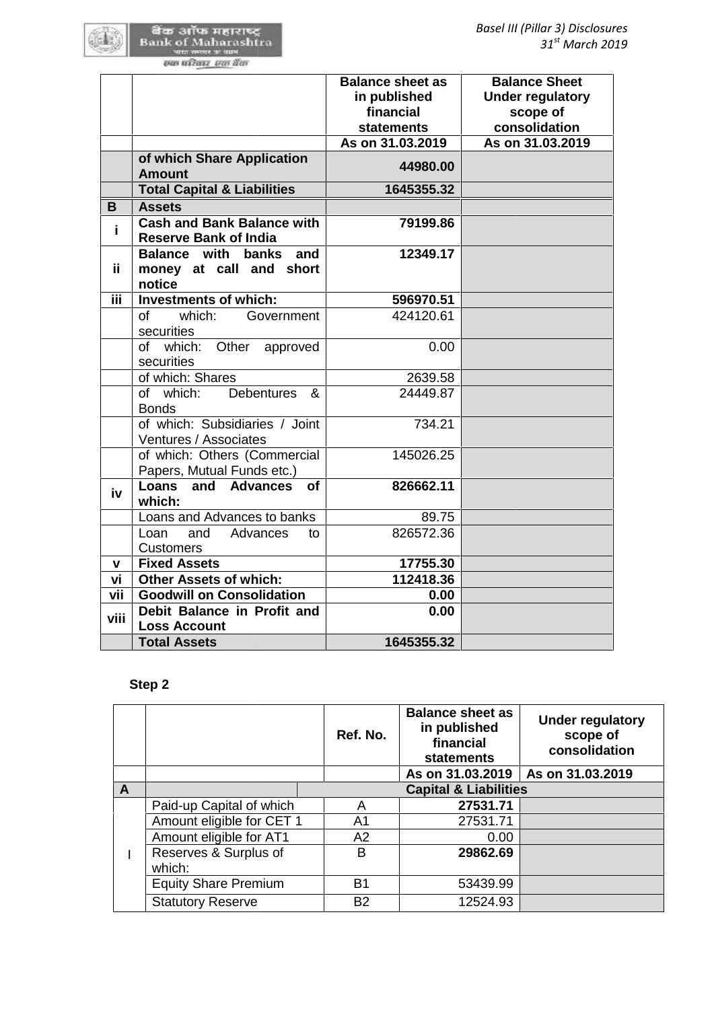|      |                                                                          | <b>Balance sheet as</b><br>in published<br>financial<br><b>statements</b> |                                                                           | <b>Balance Sheet</b><br><b>Under regulatory</b><br>scope of<br>consolidation |
|------|--------------------------------------------------------------------------|---------------------------------------------------------------------------|---------------------------------------------------------------------------|------------------------------------------------------------------------------|
|      |                                                                          | As on 31.03.2019                                                          |                                                                           | As on 31.03.2019                                                             |
|      | of which Share Application<br><b>Amount</b>                              |                                                                           | 44980.00                                                                  |                                                                              |
|      | <b>Total Capital &amp; Liabilities</b>                                   |                                                                           | 1645355.32                                                                |                                                                              |
| B    | <b>Assets</b>                                                            |                                                                           |                                                                           |                                                                              |
| i    | <b>Cash and Bank Balance with</b><br><b>Reserve Bank of India</b>        |                                                                           | 79199.86                                                                  |                                                                              |
| ii.  | <b>Balance with</b><br>banks<br>and<br>money at call and short<br>notice |                                                                           | 12349.17                                                                  |                                                                              |
| iii. | <b>Investments of which:</b>                                             |                                                                           | 596970.51                                                                 |                                                                              |
|      | of<br>which:<br>Government<br>securities                                 |                                                                           | 424120.61                                                                 |                                                                              |
|      | which: Other<br>οf<br>approved<br>securities                             |                                                                           | 0.00                                                                      |                                                                              |
|      | of which: Shares                                                         |                                                                           | 2639.58                                                                   |                                                                              |
|      | Debentures<br>of which:<br>&<br><b>Bonds</b>                             |                                                                           | 24449.87                                                                  |                                                                              |
|      | of which: Subsidiaries / Joint<br>Ventures / Associates                  |                                                                           | 734.21                                                                    |                                                                              |
|      | of which: Others (Commercial<br>Papers, Mutual Funds etc.)               |                                                                           | 145026.25                                                                 |                                                                              |
| iv   | Loans<br>and Advances<br><b>of</b><br>which:                             |                                                                           | 826662.11                                                                 |                                                                              |
|      | Loans and Advances to banks                                              |                                                                           | 89.75                                                                     |                                                                              |
|      | and<br>Advances<br>Loan<br>to<br><b>Customers</b>                        |                                                                           | 826572.36                                                                 |                                                                              |
| v    | <b>Fixed Assets</b>                                                      |                                                                           | 17755.30                                                                  |                                                                              |
| vi   | <b>Other Assets of which:</b>                                            |                                                                           | 112418.36                                                                 |                                                                              |
| vii  | <b>Goodwill on Consolidation</b>                                         |                                                                           | 0.00                                                                      |                                                                              |
| viii | Debit Balance in Profit and<br><b>Loss Account</b>                       |                                                                           | 0.00                                                                      |                                                                              |
|      | <b>Total Assets</b>                                                      |                                                                           | 1645355.32                                                                |                                                                              |
|      | Step 2                                                                   |                                                                           |                                                                           |                                                                              |
|      |                                                                          | Ref. No.                                                                  | <b>Balance sheet as</b><br>in published<br>financial<br><b>statements</b> | <b>Under regulatory</b><br>scope of<br>consolidation                         |
|      |                                                                          |                                                                           | As on 31.03.2019                                                          | As on 31.03.2019                                                             |

# **Step 2**

|              |                             | Ref. No.  | <b>Balance sheet as</b><br>in published<br>financial<br>statements | <b>Under regulatory</b><br>scope of<br>consolidation |  |  |
|--------------|-----------------------------|-----------|--------------------------------------------------------------------|------------------------------------------------------|--|--|
|              |                             |           | As on 31.03.2019                                                   | As on 31.03.2019                                     |  |  |
| $\mathsf{A}$ |                             |           | <b>Capital &amp; Liabilities</b>                                   |                                                      |  |  |
|              | Paid-up Capital of which    | A         | 27531.71                                                           |                                                      |  |  |
|              | Amount eligible for CET 1   | A1        | 27531.71                                                           |                                                      |  |  |
|              | Amount eligible for AT1     | A2        | 0.00                                                               |                                                      |  |  |
|              | Reserves & Surplus of       | B         | 29862.69                                                           |                                                      |  |  |
|              | which:                      |           |                                                                    |                                                      |  |  |
|              | <b>Equity Share Premium</b> | B1        | 53439.99                                                           |                                                      |  |  |
|              | <b>Statutory Reserve</b>    | <b>B2</b> | 12524.93                                                           |                                                      |  |  |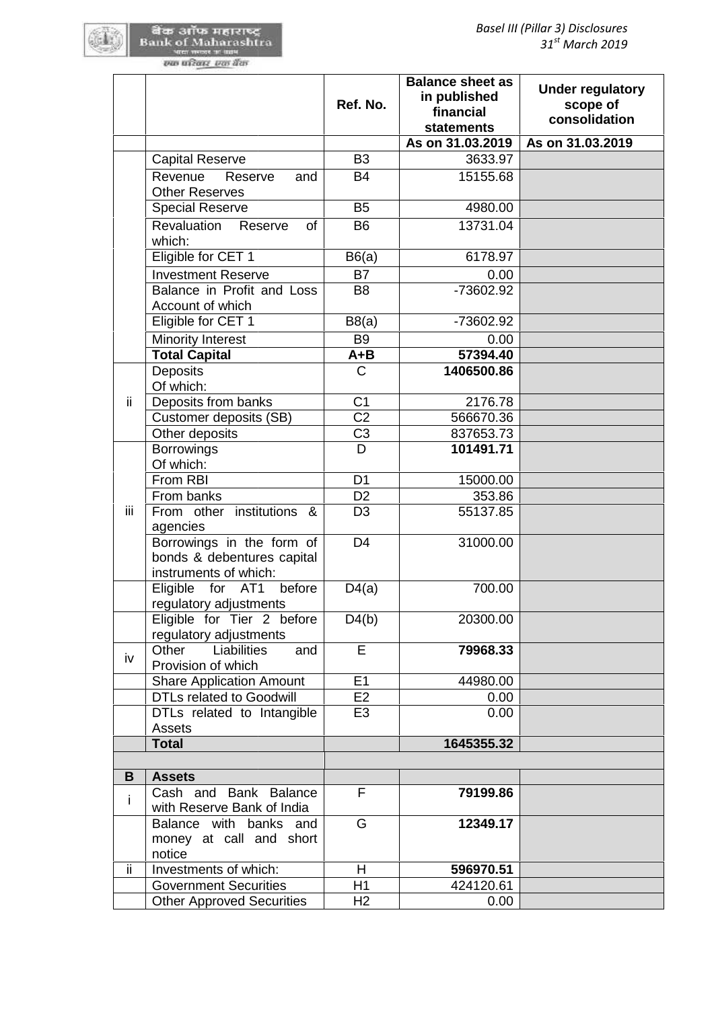# खेळ आँफ महाराष्ट्र<br>Bank of Maharashtra<br>we meet was

|     |                                                                                  | Ref. No.        | <b>Balance sheet as</b><br>in published<br>financial<br><b>statements</b> | <b>Under regulatory</b><br>scope of<br>consolidation |
|-----|----------------------------------------------------------------------------------|-----------------|---------------------------------------------------------------------------|------------------------------------------------------|
|     |                                                                                  |                 | As on 31.03.2019                                                          | As on 31.03.2019                                     |
|     | <b>Capital Reserve</b>                                                           | B <sub>3</sub>  | 3633.97                                                                   |                                                      |
|     | Revenue<br>Reserve<br>and<br><b>Other Reserves</b>                               | <b>B4</b>       | 15155.68                                                                  |                                                      |
|     | <b>Special Reserve</b>                                                           | B <sub>5</sub>  | 4980.00                                                                   |                                                      |
|     | Revaluation<br>Reserve<br>of<br>which:                                           | <b>B6</b>       | 13731.04                                                                  |                                                      |
|     | Eligible for CET 1                                                               | B6(a)           | 6178.97                                                                   |                                                      |
|     | <b>Investment Reserve</b>                                                        | <b>B7</b>       | 0.00                                                                      |                                                      |
|     | Balance in Profit and Loss<br>Account of which                                   | B <sub>8</sub>  | -73602.92                                                                 |                                                      |
|     | Eligible for CET 1                                                               | B8(a)           | -73602.92                                                                 |                                                      |
|     | <b>Minority Interest</b>                                                         | B <sub>9</sub>  | 0.00                                                                      |                                                      |
|     | <b>Total Capital</b>                                                             | $A + B$         | 57394.40                                                                  |                                                      |
|     | <b>Deposits</b><br>Of which:                                                     | $\mathsf{C}$    | 1406500.86                                                                |                                                      |
| ii. | Deposits from banks                                                              | C <sub>1</sub>  | 2176.78                                                                   |                                                      |
|     | Customer deposits (SB)                                                           | $\overline{C2}$ | 566670.36                                                                 |                                                      |
|     | Other deposits                                                                   | C <sub>3</sub>  | 837653.73                                                                 |                                                      |
|     | <b>Borrowings</b><br>Of which:                                                   | D               | 101491.71                                                                 |                                                      |
|     | From RBI                                                                         | D <sub>1</sub>  | 15000.00                                                                  |                                                      |
|     | From banks                                                                       | D <sub>2</sub>  | 353.86                                                                    |                                                      |
| iii | From other institutions &<br>agencies                                            | D <sub>3</sub>  | 55137.85                                                                  |                                                      |
|     | Borrowings in the form of<br>bonds & debentures capital<br>instruments of which: | D <sub>4</sub>  | 31000.00                                                                  |                                                      |
|     | Eligible<br>for<br>AT <sub>1</sub><br>before<br>regulatory adjustments           | D4(a)           | 700.00                                                                    |                                                      |
|     | Eligible for Tier 2 before<br>regulatory adjustments                             | D4(b)           | 20300.00                                                                  |                                                      |
| iv  | Liabilities<br>Other<br>and<br>Provision of which                                | E               | 79968.33                                                                  |                                                      |
|     | <b>Share Application Amount</b>                                                  | E1              | 44980.00                                                                  |                                                      |
|     | <b>DTLs related to Goodwill</b>                                                  | E <sub>2</sub>  | 0.00                                                                      |                                                      |
|     | DTLs related to Intangible<br>Assets                                             | E <sub>3</sub>  | 0.00                                                                      |                                                      |
|     | <b>Total</b>                                                                     |                 | 1645355.32                                                                |                                                      |
|     |                                                                                  |                 |                                                                           |                                                      |
| B   | <b>Assets</b>                                                                    |                 |                                                                           |                                                      |
| Ť   | Cash and Bank Balance<br>with Reserve Bank of India                              | F               | 79199.86                                                                  |                                                      |
|     | Balance with banks and<br>money at call and short<br>notice                      | G               | 12349.17                                                                  |                                                      |
| ij. | Investments of which:                                                            | H               | 596970.51                                                                 |                                                      |
|     | <b>Government Securities</b>                                                     | H1              | 424120.61                                                                 |                                                      |
|     | <b>Other Approved Securities</b>                                                 | H <sub>2</sub>  | 0.00                                                                      |                                                      |
|     |                                                                                  |                 |                                                                           |                                                      |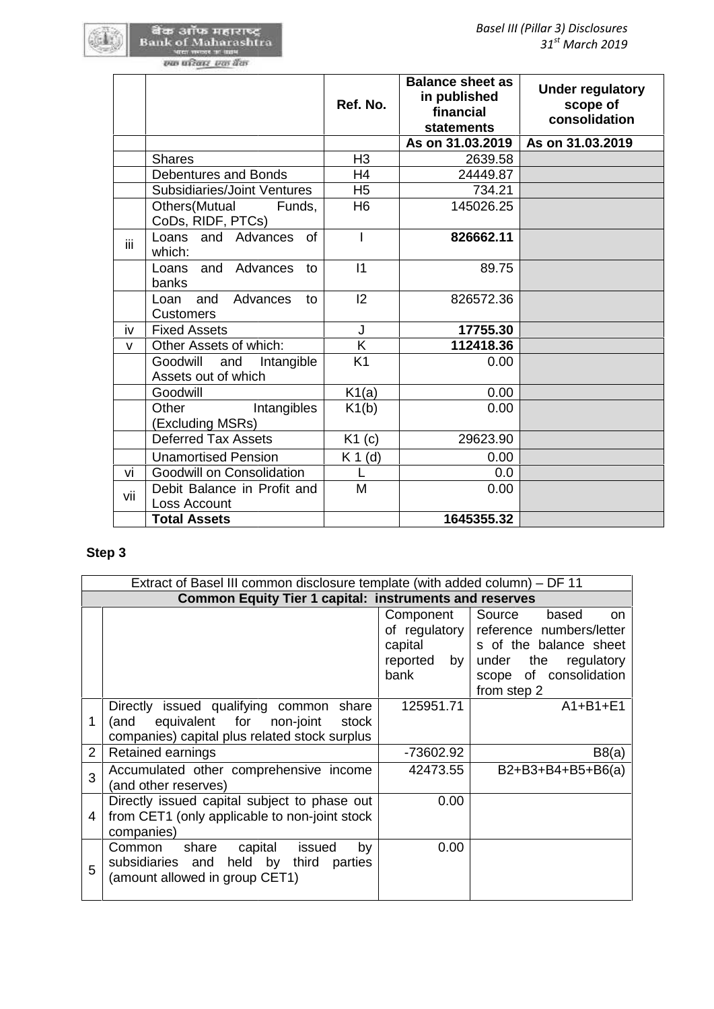|                                                      | Ref. No.       | <b>Balance sheet as</b><br>in published<br>financial<br><b>statements</b> | <b>Under regulatory</b><br>scope of<br>consolidation |
|------------------------------------------------------|----------------|---------------------------------------------------------------------------|------------------------------------------------------|
|                                                      |                | As on 31.03.2019                                                          | As on 31.03.2019                                     |
| <b>Shares</b>                                        | H <sub>3</sub> | 2639.58                                                                   |                                                      |
| <b>Debentures and Bonds</b>                          | H <sub>4</sub> | 24449.87                                                                  |                                                      |
| <b>Subsidiaries/Joint Ventures</b>                   | H <sub>5</sub> | 734.21                                                                    |                                                      |
| Others (Mutual<br>Funds,<br>CoDs, RIDF, PTCs)        | H <sub>6</sub> | 145026.25                                                                 |                                                      |
| Loans and Advances<br>of<br>iii.<br>which:           |                | 826662.11                                                                 |                                                      |
| and<br>Advances<br>Loans<br>to<br>banks              | 11             | 89.75                                                                     |                                                      |
| Loan and<br>Advances<br>to<br><b>Customers</b>       | 12             | 826572.36                                                                 |                                                      |
| iv<br><b>Fixed Assets</b>                            | J              | 17755.30                                                                  |                                                      |
| Other Assets of which:<br>v                          | Κ              | 112418.36                                                                 |                                                      |
| Goodwill<br>and<br>Intangible<br>Assets out of which | K <sub>1</sub> | 0.00                                                                      |                                                      |
| Goodwill                                             | K1(a)          | 0.00                                                                      |                                                      |
| Other<br>Intangibles<br>(Excluding MSRs)             | K1(b)          | 0.00                                                                      |                                                      |
| <b>Deferred Tax Assets</b>                           | K1(c)          | 29623.90                                                                  |                                                      |
| <b>Unamortised Pension</b>                           | $K 1$ (d)      | 0.00                                                                      |                                                      |
| Goodwill on Consolidation<br>vi                      | L              | 0.0                                                                       |                                                      |
| Debit Balance in Profit and<br>vii<br>Loss Account   | M              | 0.00                                                                      |                                                      |
| <b>Total Assets</b>                                  |                | 1645355.32                                                                |                                                      |

# **Step 3**

|                | Extract of Basel III common disclosure template (with added column) – DF 11                                                                 |                                             |                                                                                                                                                                   |  |  |  |
|----------------|---------------------------------------------------------------------------------------------------------------------------------------------|---------------------------------------------|-------------------------------------------------------------------------------------------------------------------------------------------------------------------|--|--|--|
|                | <b>Common Equity Tier 1 capital: instruments and reserves</b>                                                                               |                                             |                                                                                                                                                                   |  |  |  |
|                |                                                                                                                                             | Component<br>capital<br>reported by<br>bank | Source<br>based<br>on.<br>of regulatory reference numbers/letter<br>s of the balance sheet<br>the<br>under<br>regulatory<br>scope of consolidation<br>from step 2 |  |  |  |
| 1              | Directly issued qualifying common<br>share<br>equivalent for<br>non-joint<br>stock<br>(and<br>companies) capital plus related stock surplus | 125951.71                                   | $A1+B1+E1$                                                                                                                                                        |  |  |  |
| $\overline{2}$ | Retained earnings                                                                                                                           | -73602.92                                   | B8(a)                                                                                                                                                             |  |  |  |
| 3              | Accumulated other comprehensive income<br>(and other reserves)                                                                              | 42473.55                                    | $B2+B3+B4+B5+B6(a)$                                                                                                                                               |  |  |  |
| 4              | Directly issued capital subject to phase out<br>from CET1 (only applicable to non-joint stock)<br>companies)                                | 0.00                                        |                                                                                                                                                                   |  |  |  |
| 5              | share<br>by<br>Common<br>issued<br>capital<br>subsidiaries and held by<br>third<br>parties<br>(amount allowed in group CET1)                | 0.00                                        |                                                                                                                                                                   |  |  |  |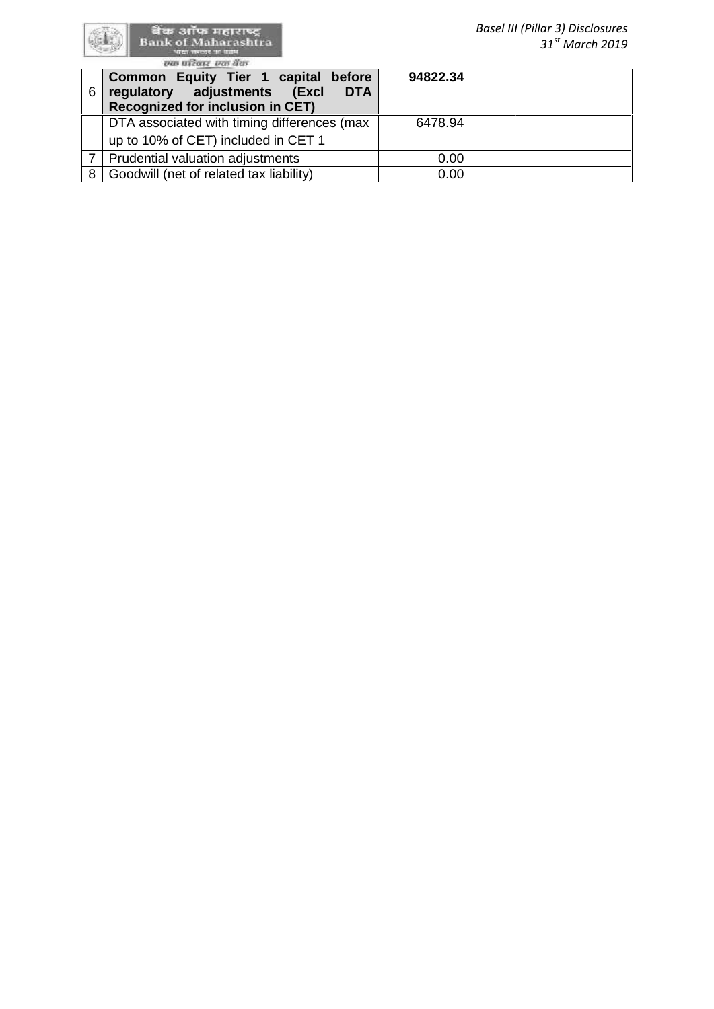|   | aren mande an anna<br>स्था परिवार एक बैंक                                                                                   |          | $31st$ March 2019 |
|---|-----------------------------------------------------------------------------------------------------------------------------|----------|-------------------|
| 6 | Common Equity Tier 1 capital before<br>adjustments<br><b>DTA</b><br>(Excl<br>regulatory<br>Recognized for inclusion in CET) | 94822.34 |                   |
|   | DTA associated with timing differences (max<br>up to 10% of CET) included in CET 1                                          | 6478.94  |                   |
|   | Prudential valuation adjustments                                                                                            | 0.00     |                   |
| 8 | Goodwill (net of related tax liability)                                                                                     | 0.00     |                   |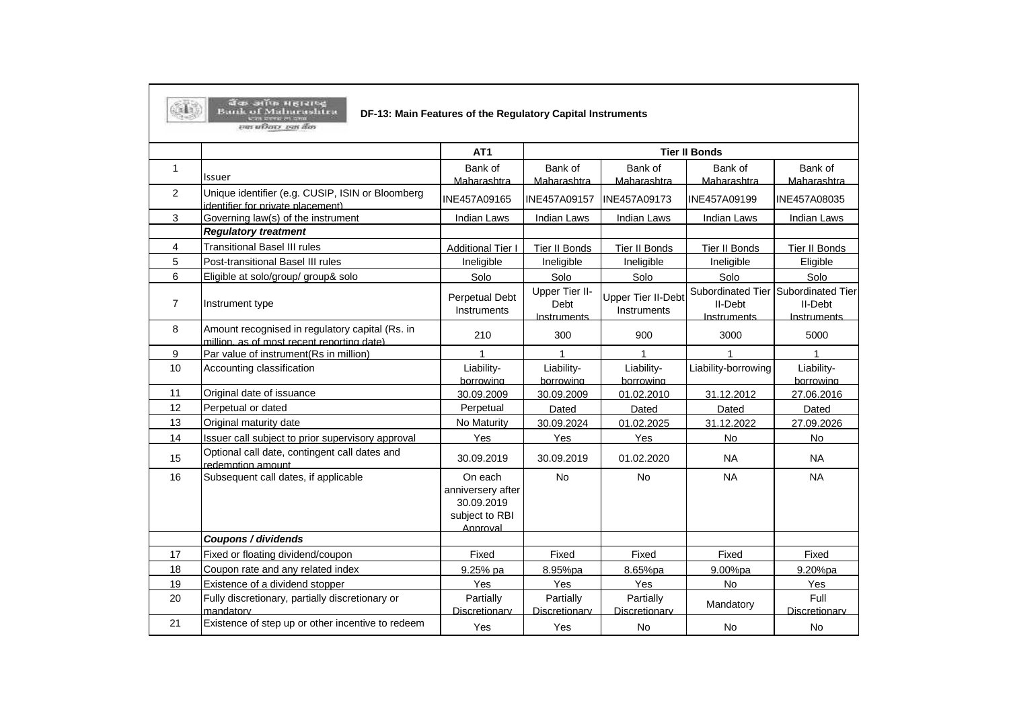|  |  | बैक अंगित महाराष्ट        |  |
|--|--|---------------------------|--|
|  |  | <b>Barik of Mabarasht</b> |  |

# **DF-13: Main Features of the Regulatory Capital Instruments**

 $\langle \bar{1} \rangle$ *COLORADO COM* 

|                |                                                                                               | AT <sub>1</sub>                                                          |                                       |                                          | <b>Tier II Bonds</b>                        |                                             |
|----------------|-----------------------------------------------------------------------------------------------|--------------------------------------------------------------------------|---------------------------------------|------------------------------------------|---------------------------------------------|---------------------------------------------|
| $\mathbf{1}$   |                                                                                               | Bank of                                                                  | Bank of                               | Bank of                                  | Bank of                                     | Bank of                                     |
|                | <b>Issuer</b>                                                                                 | Maharashtra                                                              | Maharashtra                           | Maharashtra                              | Maharashtra                                 | Maharashtra                                 |
| $\overline{2}$ | Unique identifier (e.g. CUSIP, ISIN or Bloomberg<br>identifier for private placement)         | INE457A09165                                                             | INE457A09157                          | <b>INE457A09173</b>                      | INE457A09199                                | INE457A08035                                |
| 3              | Governing law(s) of the instrument                                                            | <b>Indian Laws</b>                                                       | <b>Indian Laws</b>                    | <b>Indian Laws</b>                       | <b>Indian Laws</b>                          | Indian Laws                                 |
|                | <b>Regulatory treatment</b>                                                                   |                                                                          |                                       |                                          |                                             |                                             |
| 4              | <b>Transitional Basel III rules</b>                                                           | <b>Additional Tier I</b>                                                 | Tier II Bonds                         | Tier II Bonds                            | <b>Tier II Bonds</b>                        | Tier II Bonds                               |
| 5              | Post-transitional Basel III rules                                                             | Ineligible                                                               | Ineligible                            | Ineligible                               | Ineligible                                  | Eligible                                    |
| 6              | Eligible at solo/group/ group& solo                                                           | Solo                                                                     | Solo                                  | Solo                                     | Solo                                        | Solo                                        |
| $\overline{7}$ | Instrument type                                                                               | Perpetual Debt<br>Instruments                                            | Upper Tier II-<br>Debt<br>Instruments | <b>Upper Tier II-Debt</b><br>Instruments | Subordinated Tier<br>II-Debt<br>Instruments | Subordinated Tier<br>II-Debt<br>Instruments |
| 8              | Amount recognised in regulatory capital (Rs. in<br>million, as of most recent reporting date) | 210                                                                      | 300                                   | 900                                      | 3000                                        | 5000                                        |
| 9              | Par value of instrument(Rs in million)                                                        | $\mathbf{1}$                                                             | $\overline{1}$                        | 1                                        | 1                                           | $\mathbf{1}$                                |
| 10             | Accounting classification                                                                     | Liability-<br>borrowing                                                  | Liability-<br>borrowing               | Liability-<br>borrowing                  | Liability-borrowing                         | Liability-<br>borrowing                     |
| 11             | Original date of issuance                                                                     | 30.09.2009                                                               | 30.09.2009                            | 01.02.2010                               | 31.12.2012                                  | 27.06.2016                                  |
| 12             | Perpetual or dated                                                                            | Perpetual                                                                | Dated                                 | Dated                                    | Dated                                       | Dated                                       |
| 13             | Original maturity date                                                                        | No Maturity                                                              | 30.09.2024                            | 01.02.2025                               | 31.12.2022                                  | 27.09.2026                                  |
| 14             | Issuer call subject to prior supervisory approval                                             | Yes                                                                      | Yes                                   | Yes                                      | <b>No</b>                                   | <b>No</b>                                   |
| 15             | Optional call date, contingent call dates and<br>redemption amount                            | 30.09.2019                                                               | 30.09.2019                            | 01.02.2020                               | <b>NA</b>                                   | <b>NA</b>                                   |
| 16             | Subsequent call dates, if applicable                                                          | On each<br>anniversery after<br>30.09.2019<br>subject to RBI<br>Approval | <b>No</b>                             | <b>No</b>                                | <b>NA</b>                                   | <b>NA</b>                                   |
|                | Coupons / dividends                                                                           |                                                                          |                                       |                                          |                                             |                                             |
| 17             | Fixed or floating dividend/coupon                                                             | Fixed                                                                    | Fixed                                 | Fixed                                    | Fixed                                       | Fixed                                       |
| 18             | Coupon rate and any related index                                                             | 9.25% pa                                                                 | 8.95%pa                               | 8.65%pa                                  | 9.00%pa                                     | 9.20%pa                                     |
| 19             | Existence of a dividend stopper                                                               | Yes                                                                      | Yes                                   | Yes                                      | <b>No</b>                                   | Yes                                         |
| 20             | Fully discretionary, partially discretionary or<br>mandatory                                  | Partially<br>Discretionary                                               | Partially<br>Discretionary            | Partially<br>Discretionary               | Mandatory                                   | Full<br>Discretionary                       |
| 21             | Existence of step up or other incentive to redeem                                             | Yes                                                                      | Yes                                   | <b>No</b>                                | <b>No</b>                                   | <b>No</b>                                   |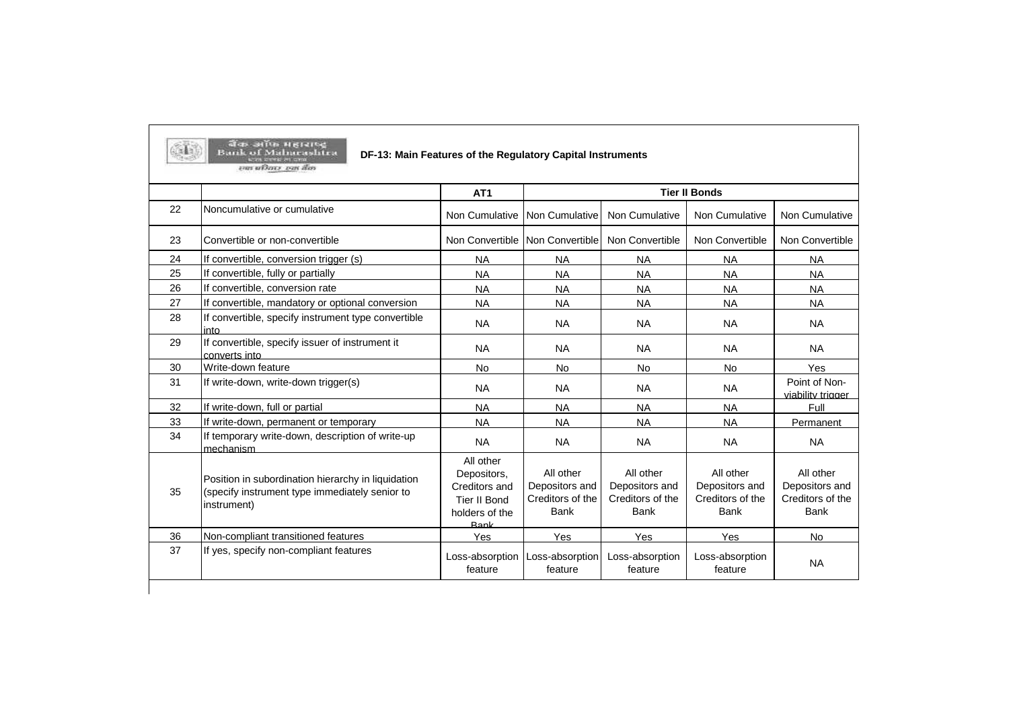|    |                                                                                                                     | AT <sub>1</sub>                                                                     |                                                                |                                                                | <b>Tier II Bonds</b>                                           |                                                                |
|----|---------------------------------------------------------------------------------------------------------------------|-------------------------------------------------------------------------------------|----------------------------------------------------------------|----------------------------------------------------------------|----------------------------------------------------------------|----------------------------------------------------------------|
| 22 | Noncumulative or cumulative                                                                                         | Non Cumulative                                                                      | Non Cumulative                                                 | Non Cumulative                                                 | Non Cumulative                                                 | Non Cumulative                                                 |
| 23 | Convertible or non-convertible                                                                                      |                                                                                     | Non Convertible Non Convertible                                | Non Convertible                                                | Non Convertible                                                | Non Convertible                                                |
| 24 | If convertible, conversion trigger (s)                                                                              | <b>NA</b>                                                                           | <b>NA</b>                                                      | <b>NA</b>                                                      | <b>NA</b>                                                      | <b>NA</b>                                                      |
| 25 | If convertible, fully or partially                                                                                  | <b>NA</b>                                                                           | <b>NA</b>                                                      | <b>NA</b>                                                      | <b>NA</b>                                                      | <b>NA</b>                                                      |
| 26 | If convertible, conversion rate                                                                                     | <b>NA</b>                                                                           | <b>NA</b>                                                      | <b>NA</b>                                                      | <b>NA</b>                                                      | <b>NA</b>                                                      |
| 27 | If convertible, mandatory or optional conversion                                                                    | <b>NA</b>                                                                           | <b>NA</b>                                                      | <b>NA</b>                                                      | <b>NA</b>                                                      | <b>NA</b>                                                      |
| 28 | If convertible, specify instrument type convertible<br>into                                                         | <b>NA</b>                                                                           | <b>NA</b>                                                      | <b>NA</b>                                                      | <b>NA</b>                                                      | <b>NA</b>                                                      |
| 29 | If convertible, specify issuer of instrument it<br>converts into                                                    | <b>NA</b>                                                                           | <b>NA</b>                                                      | <b>NA</b>                                                      | <b>NA</b>                                                      | <b>NA</b>                                                      |
| 30 | Write-down feature                                                                                                  | <b>No</b>                                                                           | No                                                             | <b>No</b>                                                      | <b>No</b>                                                      | Yes                                                            |
| 31 | If write-down, write-down trigger(s)                                                                                | <b>NA</b>                                                                           | <b>NA</b>                                                      | <b>NA</b>                                                      | <b>NA</b>                                                      | Point of Non-<br>viability trigger                             |
| 32 | If write-down, full or partial                                                                                      | <b>NA</b>                                                                           | <b>NA</b>                                                      | <b>NA</b>                                                      | <b>NA</b>                                                      | Full                                                           |
| 33 | If write-down, permanent or temporary                                                                               | <b>NA</b>                                                                           | <b>NA</b>                                                      | <b>NA</b>                                                      | <b>NA</b>                                                      | Permanent                                                      |
| 34 | If temporary write-down, description of write-up<br>mechanism                                                       | <b>NA</b>                                                                           | <b>NA</b>                                                      | <b>NA</b>                                                      | <b>NA</b>                                                      | <b>NA</b>                                                      |
| 35 | Position in subordination hierarchy in liquidation<br>(specify instrument type immediately senior to<br>instrument) | All other<br>Depositors,<br>Creditors and<br>Tier II Bond<br>holders of the<br>Rank | All other<br>Depositors and<br>Creditors of the<br><b>Bank</b> | All other<br>Depositors and<br>Creditors of the<br><b>Bank</b> | All other<br>Depositors and<br>Creditors of the<br><b>Bank</b> | All other<br>Depositors and<br>Creditors of the<br><b>Bank</b> |
| 36 | Non-compliant transitioned features                                                                                 | Yes                                                                                 | Yes                                                            | Yes                                                            | Yes                                                            | No                                                             |
| 37 | If yes, specify non-compliant features                                                                              | Loss-absorption<br>feature                                                          | Loss-absorption<br>feature                                     | Loss-absorption<br>feature                                     | Loss-absorption<br>feature                                     | <b>NA</b>                                                      |

**Contract** 

**The contract of the contract of the contract of the contract of the contract of the contract of the contract of the contract of the contract of the contract of the contract of the contract of the contract of the contract**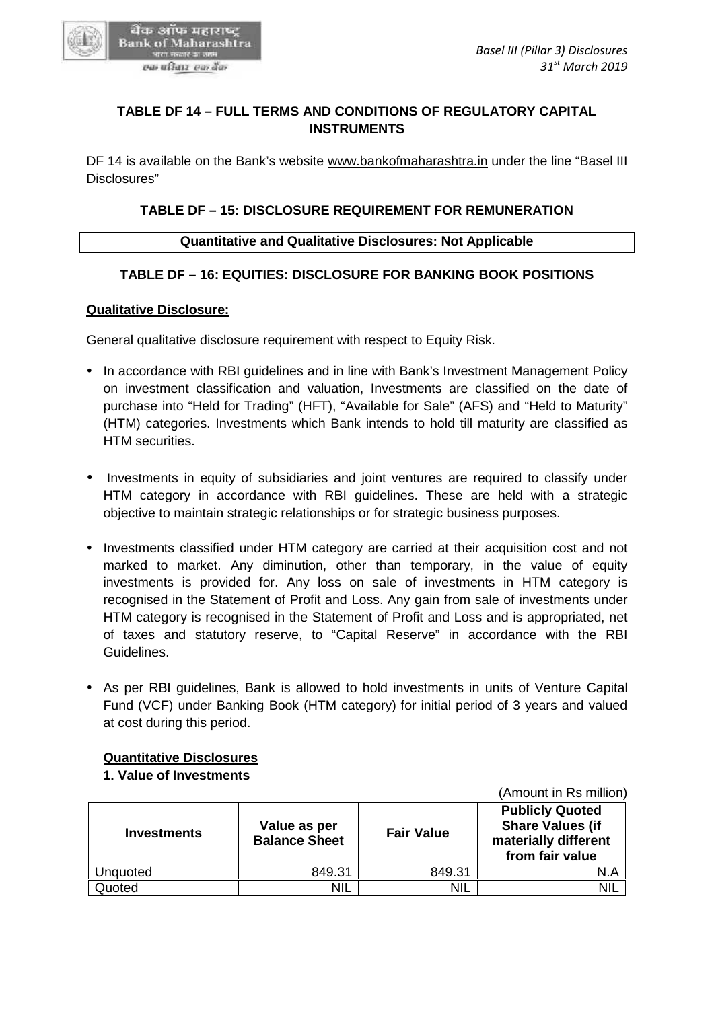

# **TABLE DF 14 – FULL TERMS AND CONDITIONS OF REGULATORY CAPITAL INSTRUMENTS**

DF 14 is available on the Bank's website www.bankofmaharashtra.in under the line "Basel III Disclosures" TABLE DF 14 – FULL TERMS AND CONDITIONS OF REGULATORY CAPITAL<br>INSTRUMENTS<br>4 is available on the Bank's website <u>www.bankofmaharashtra.in</u> under the line "Ba<br>psures"<br>TABLE DF – 15: DISCLOSURE REQUIREMENT FOR REMUNERATION<br>Qu

# **TABLE DF – 15: DISCLOSURE REQUIREMENT FOR REMUNERATION**

#### **Quantitative and Qualitative Disclosures: Not Applicable**

# **TABLE DF – 16: EQUITIES: DISCLOSURE FOR BANKING BOOK POSITIONS**

#### **Qualitative Disclosure:**

General qualitative disclosure requirement with respect to Equity Risk.

- In accordance with RBI guidelines and in line with Bank's Investment Management Policy on investment classification and valuation, Investments are classified on the date of purchase into "Held for Trading" (HFT), "Available for Sale" (AFS) and "Held to Maturity" (HTM) categories. Investments which Bank intends to hold till maturity are classified as HTM securities. In accordance with RBI guidelines and in line with Bank's Investment Management Policy<br>on investment classification and valuation, Investments are classified on the date of<br>purchase into "Held for Trading" (HFT), "Availabl
- Investments in equity of subsidiaries and joint ventures are required to classify under HTM category in accordance with RBI guidelines. These are held with a strategic objective to maintain strategic relationships or for strategic business purposes.
- Investments classified under HTM category are carried at their acquisition cost and not • Investments classified under HTM category are carried at their acquisition cost and not<br>marked to market. Any diminution, other than temporary, in the value of equity investments is provided for. Any loss on sale of investments in HTM category is recognised in the Statement of Profit and Loss. Any gain from sale of investments under HTM category is recognised in the Statement of Profit and Loss and is appropriated, net of taxes and statutory reserve, to "Capital Reserve" in accordance with the RBI Guidelines. investments is provided for. Any loss on sale of investments in HTM category is<br>recognised in the Statement of Profit and Loss. Any gain from sale of investments under<br>HTM category is recognised in the Statement of Profit m strategic relationships or for strategic business<br>
ied under HTM category are carried at their acc<br>
... Any diminution, other than temporary, in<br>
wided for. Any loss on sale of investments<br>
tatement of Profit and Loss. A
- As per RBI guidelines, Bank is allowed to hold investments in units of Venture Capital Fund (VCF) under Banking Book (HTM category) for initial period of 3 years and valued at cost during this period. • As per RBI guidelines, Bank is allowed to hold investments in units of Fund (VCF) under Banking Book (HTM category) for initial period of 3 y at cost during this period.

#### **Quantitative Disclosures**

#### **1. Value of Investments**

**Investments Value as per Balance Sheet Fair Value Publicly Quoted Share Values (if materially different from fair value** Unquoted  $849.31$  849.31 849.31 Quoted NIL NIL NIL NIL NIL NIL NIL **Value Fair Valuefrom fair** 

(Amount in Rs million)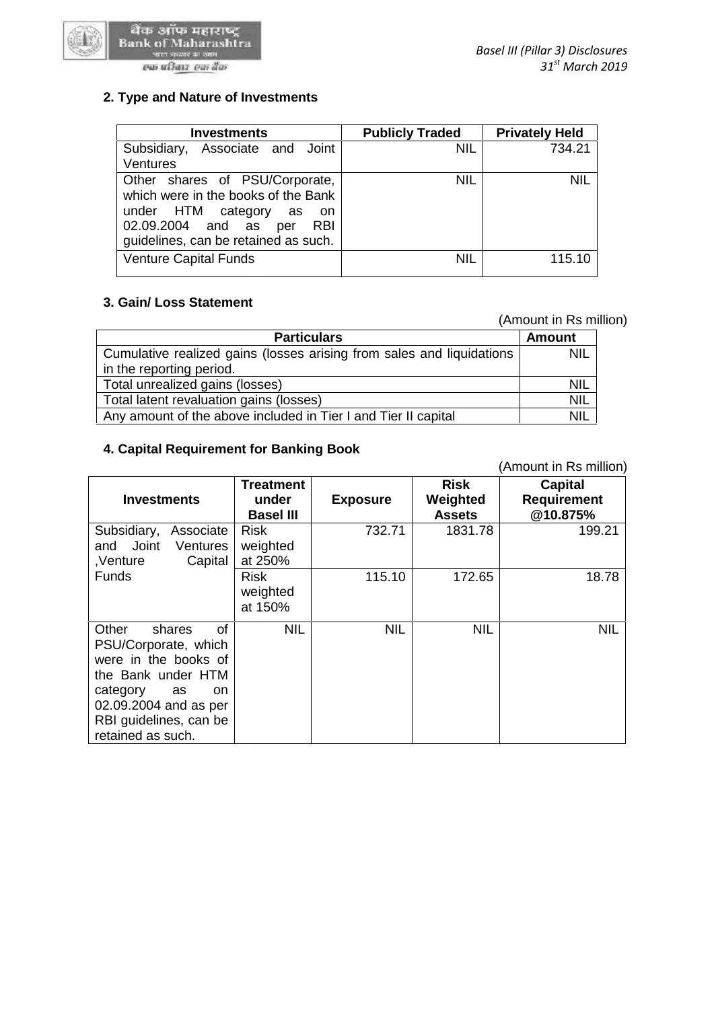

#### एक परिवार-एक बैंक

| <b>Investments</b>                                                                                                                                                                          | <b>Publicly Traded</b> | <b>Privately Held</b> |
|---------------------------------------------------------------------------------------------------------------------------------------------------------------------------------------------|------------------------|-----------------------|
| Associate and Joint<br>Subsidiary,<br>Ventures                                                                                                                                              | <b>NIL</b>             | 734.21                |
| Other shares of PSU/Corporate,<br>which were in the books of the Bank<br>under HTM category<br>as<br>- on<br>02.09.2004 and as<br><b>RBI</b><br>per<br>guidelines, can be retained as such. | <b>NIL</b>             | <b>NIL</b>            |
| <b>Venture Capital Funds</b>                                                                                                                                                                | <b>NIL</b>             | 115.10                |

# **3. Gain/ Loss Statement 3.**

# (Amount in Rs million)

|                                                                       | (Amount in Rs million) |  |
|-----------------------------------------------------------------------|------------------------|--|
| <b>Particulars</b>                                                    | <b>Amount</b>          |  |
| Cumulative realized gains (losses arising from sales and liquidations | <b>NIL</b>             |  |
| in the reporting period.                                              |                        |  |
| Total unrealized gains (losses)                                       | <b>NIL</b>             |  |
| Total latent revaluation gains (losses)                               | <b>NIL</b>             |  |
| Any amount of the above included in Tier I and Tier II capital        | <b>NIL</b>             |  |

#### **4. Capital Requirement for Banking Book 4. Capital Requirement**

| Cumulative realized gains (losses arising from sales and liquidations                                                                                                                       | NIL                                |                 |                           |                                |  |  |  |  |
|---------------------------------------------------------------------------------------------------------------------------------------------------------------------------------------------|------------------------------------|-----------------|---------------------------|--------------------------------|--|--|--|--|
|                                                                                                                                                                                             | in the reporting period.           |                 |                           |                                |  |  |  |  |
| Total unrealized gains (losses)                                                                                                                                                             |                                    |                 |                           | NIL                            |  |  |  |  |
| Total latent revaluation gains (losses)                                                                                                                                                     |                                    |                 |                           | NIL                            |  |  |  |  |
| Any amount of the above included in Tier I and Tier II capital                                                                                                                              |                                    |                 |                           | <b>NIL</b>                     |  |  |  |  |
| 4. Capital Requirement for Banking Book                                                                                                                                                     |                                    |                 |                           |                                |  |  |  |  |
|                                                                                                                                                                                             |                                    |                 |                           | (Amount in Rs million)         |  |  |  |  |
|                                                                                                                                                                                             | <b>Treatment</b>                   |                 | <b>Risk</b>               | <b>Capital</b>                 |  |  |  |  |
| <b>Investments</b>                                                                                                                                                                          | under<br><b>Basel III</b>          | <b>Exposure</b> | Weighted<br><b>Assets</b> | <b>Requirement</b><br>@10.875% |  |  |  |  |
| Subsidiary,<br>Associate<br>Joint<br>and<br>Ventures<br>Capital<br>,Venture                                                                                                                 | <b>Risk</b><br>weighted<br>at 250% | 732.71          | 1831.78                   | 199.21                         |  |  |  |  |
| <b>Funds</b>                                                                                                                                                                                | <b>Risk</b><br>weighted<br>at 150% | 115.10          | 172.65                    | 18.78                          |  |  |  |  |
| Other<br>Ωf<br>shares<br>PSU/Corporate, which<br>were in the books of<br>the Bank under HTM<br>category<br>as<br>on<br>02.09.2004 and as per<br>RBI guidelines, can be<br>retained as such. | <b>NIL</b>                         | <b>NIL</b>      | <b>NIL</b>                | <b>NIL</b>                     |  |  |  |  |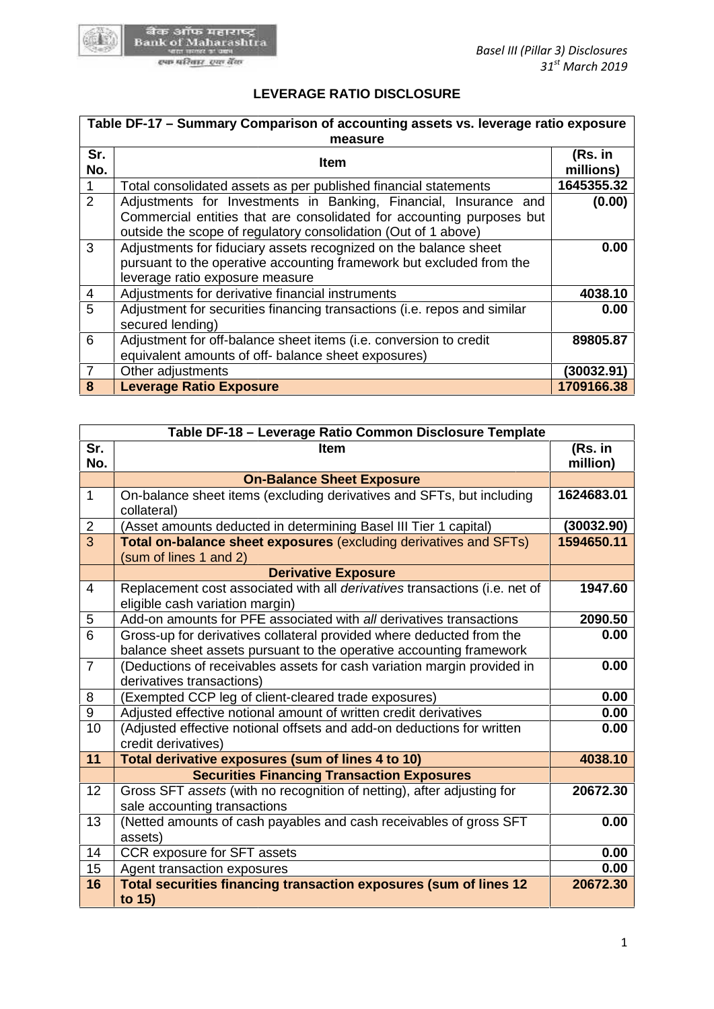

# **LEVERAGE RATIO DISCLOSURE**

| Table DF-17 - Summary Comparison of accounting assets vs. leverage ratio exposure |                                                                                                                                                                                                             |                      |  |
|-----------------------------------------------------------------------------------|-------------------------------------------------------------------------------------------------------------------------------------------------------------------------------------------------------------|----------------------|--|
| Sr.<br>No.                                                                        | measure<br><b>Item</b>                                                                                                                                                                                      | (Rs. in<br>millions) |  |
|                                                                                   | Total consolidated assets as per published financial statements                                                                                                                                             | 1645355.32           |  |
| 2                                                                                 | Adjustments for Investments in Banking, Financial, Insurance and<br>Commercial entities that are consolidated for accounting purposes but<br>outside the scope of regulatory consolidation (Out of 1 above) | (0.00)               |  |
| $\mathbf{3}$                                                                      | Adjustments for fiduciary assets recognized on the balance sheet<br>pursuant to the operative accounting framework but excluded from the<br>leverage ratio exposure measure                                 | 0.00                 |  |
| 4                                                                                 | Adjustments for derivative financial instruments                                                                                                                                                            | 4038.10              |  |
| 5                                                                                 | Adjustment for securities financing transactions (i.e. repos and similar<br>secured lending)                                                                                                                | 0.00                 |  |
| 6                                                                                 | Adjustment for off-balance sheet items (i.e. conversion to credit<br>equivalent amounts of off- balance sheet exposures)                                                                                    | 89805.87             |  |
| $\overline{7}$                                                                    | Other adjustments                                                                                                                                                                                           | (30032.91)           |  |
| 8                                                                                 | <b>Leverage Ratio Exposure</b>                                                                                                                                                                              | 1709166.38           |  |

| 7                | Other adjustments                                                                                             | (30032.91) |
|------------------|---------------------------------------------------------------------------------------------------------------|------------|
| $\boldsymbol{8}$ | <b>Leverage Ratio Exposure</b>                                                                                | 1709166.38 |
|                  |                                                                                                               |            |
|                  | Table DF-18 - Leverage Ratio Common Disclosure Template                                                       |            |
| Sr.              | <b>Item</b>                                                                                                   | (Rs. in    |
| No.              |                                                                                                               | million)   |
|                  | <b>On-Balance Sheet Exposure</b>                                                                              |            |
| $\mathbf{1}$     | On-balance sheet items (excluding derivatives and SFTs, but including<br>collateral)                          | 1624683.01 |
| $\overline{2}$   | (Asset amounts deducted in determining Basel III Tier 1 capital)                                              | (30032.90) |
| $\overline{3}$   | Total on-balance sheet exposures (excluding derivatives and SFTs)<br>(sum of lines 1 and 2)                   | 1594650.11 |
|                  | <b>Derivative Exposure</b>                                                                                    |            |
| 4                | Replacement cost associated with all derivatives transactions (i.e. net of<br>eligible cash variation margin) | 1947.60    |
| $\sqrt{5}$       | Add-on amounts for PFE associated with all derivatives transactions                                           | 2090.50    |
| 6                | Gross-up for derivatives collateral provided where deducted from the                                          | 0.00       |
|                  | balance sheet assets pursuant to the operative accounting framework                                           |            |
| $\overline{7}$   | (Deductions of receivables assets for cash variation margin provided in                                       | 0.00       |
|                  | derivatives transactions)                                                                                     |            |
| 8                | (Exempted CCP leg of client-cleared trade exposures)                                                          | 0.00       |
| 9                | Adjusted effective notional amount of written credit derivatives                                              | 0.00       |
| 10               | (Adjusted effective notional offsets and add-on deductions for written<br>credit derivatives)                 | 0.00       |
| 11               | Total derivative exposures (sum of lines 4 to 10)                                                             | 4038.10    |
|                  | <b>Securities Financing Transaction Exposures</b>                                                             |            |
| 12               | Gross SFT assets (with no recognition of netting), after adjusting for<br>sale accounting transactions        | 20672.30   |
| 13               | (Netted amounts of cash payables and cash receivables of gross SFT<br>assets)                                 | 0.00       |
| 14               | CCR exposure for SFT assets                                                                                   | 0.00       |
| 15               | Agent transaction exposures                                                                                   | 0.00       |
| 16               | Total securities financing transaction exposures (sum of lines 12<br>to 15)                                   | 20672.30   |